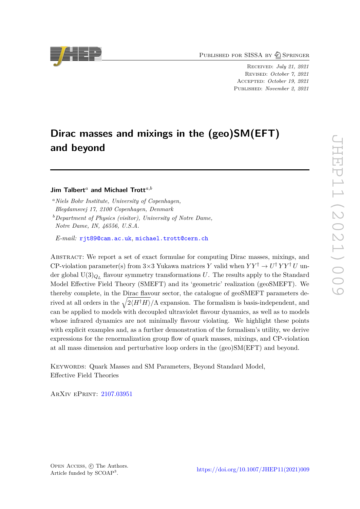PUBLISHED FOR SISSA BY 2 SPRINGER

Received: *July 21, 2021* Revised: *October 7, 2021* Accepted: *October 19, 2021* Published: *November 2, 2021*

# **Dirac masses and mixings in the (geo)SM(EFT) and beyond**

# **Jim Talbert***<sup>a</sup>* **and Michael Trott***a,b*

*<sup>a</sup>Niels Bohr Institute, University of Copenhagen, Blegdamsvej 17, 2100 Copenhagen, Denmark <sup>b</sup>Department of Physics (visitor), University of Notre Dame,*

*Notre Dame, IN, 46556, U.S.A.*

*E-mail:* [rjt89@cam.ac.uk](mailto:rjt89@cam.ac.uk), [michael.trott@cern.ch](mailto:michael.trott@cern.ch)

ABSTRACT: We report a set of exact formulae for computing Dirac masses, mixings, and CP-violation parameter(s) from  $3\times3$  Yukawa matrices *Y* valid when  $YY^{\dagger} \rightarrow U^{\dagger}YY^{\dagger}U$  under global  $U(3)_{Q_L}$  flavour symmetry transformations  $U$ . The results apply to the Standard Model Effective Field Theory (SMEFT) and its 'geometric' realization (geoSMEFT). We thereby complete, in the Dirac flavour sector, the catalogue of geoSMEFT parameters derived at all orders in the  $\sqrt{2\langle H^{\dagger}H \rangle}/\Lambda$  expansion. The formalism is basis-independent, and can be applied to models with decoupled ultraviolet flavour dynamics, as well as to models whose infrared dynamics are not minimally flavour violating. We highlight these points with explicit examples and, as a further demonstration of the formalism's utility, we derive expressions for the renormalization group flow of quark masses, mixings, and CP-violation at all mass dimension and perturbative loop orders in the (geo)SM(EFT) and beyond.

Keywords: Quark Masses and SM Parameters, Beyond Standard Model, Effective Field Theories

ArXiv ePrint: [2107.03951](https://arxiv.org/abs/2107.03951)

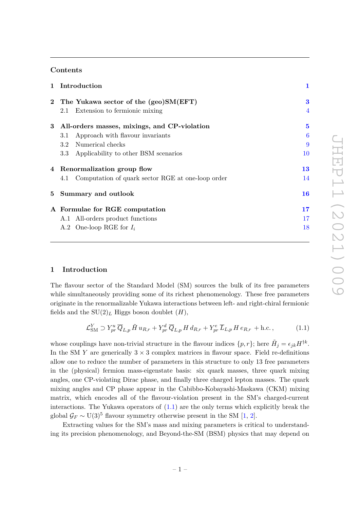# **Contents**

| 1 Introduction                                           | $\mathbf{1}$ |
|----------------------------------------------------------|--------------|
| 2 The Yukawa sector of the (geo)SM(EFT)                  | 3            |
| Extension to fermionic mixing<br>2.1                     | 4            |
| All-orders masses, mixings, and CP-violation<br>3        | 5            |
| Approach with flavour invariants<br>$3.1\,$              | 6            |
| Numerical checks<br>3.2                                  | 9            |
| Applicability to other BSM scenarios<br>$3.3\,$          | 10           |
| 4 Renormalization group flow                             | 13           |
| Computation of quark sector RGE at one-loop order<br>4.1 | 14           |
| 5 Summary and outlook                                    | 16           |
| A Formulae for RGE computation                           | 17           |
| A.1 All-orders product functions                         | 17           |
| A.2 One-loop RGE for $I_i$                               | 18           |
|                                                          |              |

## <span id="page-1-0"></span>**1 Introduction**

The flavour sector of the Standard Model (SM) sources the bulk of its free parameters while simultaneously providing some of its richest phenomenology. These free parameters originate in the renormalizable Yukawa interactions between left- and right-chiral fermionic fields and the  $SU(2)_L$  Higgs boson doublet  $(H)$ ,

<span id="page-1-1"></span>
$$
\mathcal{L}^Y_{\text{SM}} \supset Y^u_{pr} \overline{Q}_{L,p} \tilde{H} u_{R,r} + Y^d_{pr} \overline{Q}_{L,p} H d_{R,r} + Y^e_{pr} \overline{L}_{L,p} H e_{R,r} + \text{h.c.}, \qquad (1.1)
$$

whose couplings have non-trivial structure in the flavour indices  $\{p, r\}$ ; here  $\tilde{H}_j = \epsilon_{jk} H^{\dagger k}$ . In the SM  $Y$  are generically  $3 \times 3$  complex matrices in flavour space. Field re-definitions allow one to reduce the number of parameters in this structure to only 13 free parameters in the (physical) fermion mass-eigenstate basis: six quark masses, three quark mixing angles, one CP-violating Dirac phase, and finally three charged lepton masses. The quark mixing angles and CP phase appear in the Cabibbo-Kobayashi-Maskawa (CKM) mixing matrix, which encodes all of the flavour-violation present in the SM's charged-current interactions. The Yukawa operators of [\(1.1\)](#page-1-1) are the only terms which explicitly break the global  $\mathcal{G}_F \sim \mathrm{U}(3)^5$  flavour symmetry otherwise present in the SM [\[1,](#page-19-0) [2\]](#page-19-1).

Extracting values for the SM's mass and mixing parameters is critical to understanding its precision phenomenology, and Beyond-the-SM (BSM) physics that may depend on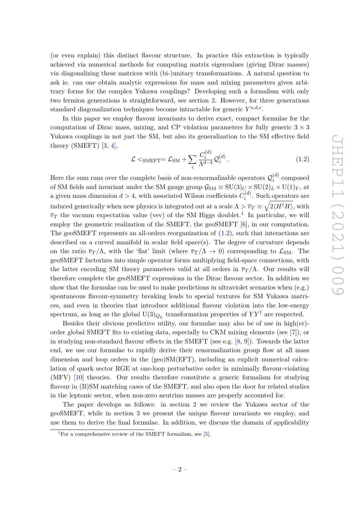(or even explain) this distinct flavour structure. In practice this extraction is typically achieved via numerical methods for computing matrix eigenvalues (giving Dirac masses) via diagonalizing these matrices with (bi-)unitary transformations. A natural question to ask is: can one obtain analytic expressions for mass and mixing parameters given arbitrary forms for the complex Yukawa couplings? Developing such a formalism with only two fermion generations is straightforward, see section [2.](#page-3-0) However, for three generations standard diagonalization techniques become intractable for generic  $Y^{u,d,e}$ .

In this paper we employ flavour invariants to derive exact, compact formulae for the computation of Dirac mass, mixing, and CP violation parameters for fully generic  $3 \times 3$ Yukawa couplings in not just the SM, but also its generalization to the SM effective field theory (SMEFT) [\[3,](#page-19-2) [4\]](#page-19-3),

<span id="page-2-1"></span>
$$
\mathcal{L} <_{\text{SMEFT}} = \mathcal{L}_{\text{SM}} + \sum_{i} \frac{C_i^{(d)}}{\Lambda^{d-4}} \mathcal{Q}_i^{(d)} \,. \tag{1.2}
$$

Here the sum runs over the complete basis of non-renormalizable operators  $\mathcal{Q}_i^{(d)}$  $i^{(a)}$  composed of SM fields and invariant under the SM gauge group  $\mathcal{G}_{SM} \equiv SU(3)_C \times SU(2)_L \times U(1)_Y$ , at a given mass dimension  $d > 4$ , with associated Wilson coefficients  $C_i^{(d)}$  $\int_i^{(u)}$ . Such operators are induced generically when new physics is integrated out at a scale  $\Lambda > \overline{v}_T \equiv \sqrt{2\langle H^\dagger H \rangle},$  with  $\overline{v}_T$  the vacuum expectation value (vev) of the SM Higgs doublet.<sup>[1](#page-2-0)</sup> In particular, we will employ the geometric realization of the SMEFT, the geoSMEFT [\[6\]](#page-19-4), in our computation. The geoSMEFT represents an all-orders reorganization of [\(1.2\)](#page-2-1), such that interactions are described on a curved manifold in scalar field space(s). The degree of curvature depends on the ratio  $\overline{v}_T/\Lambda$ , with the 'flat' limit (where  $\overline{v}_T/\Lambda \to 0$ ) corresponding to  $\mathcal{L}_{SM}$ . The geoSMEFT factorizes into simple operator forms multiplying field-space connections, with the latter encoding SM theory parameters valid at all orders in  $\overline{v}_T/\Lambda$ . Our results will therefore complete the geoSMEFT expressions in the Dirac flavour sector. In addition we show that the formulae can be used to make predictions in ultraviolet scenarios when (e.g.) spontaneous flavour-symmetry breaking leads to special textures for SM Yukawa matrices, and even in theories that introduce additional flavour violation into the low-energy spectrum, as long as the global  $U(3)_{Q_L}$  transformation properties of  $YY^{\dagger}$  are respected.

Besides their obvious predictive utility, our formulae may also be of use in high(er) order global SMEFT fits to existing data, especially to CKM mixing elements (see [\[7\]](#page-19-5)), or in studying non-standard flavour effects in the SMEFT (see e.g. [\[8,](#page-19-6) [9\]](#page-19-7)). Towards the latter end, we use our formulae to rapidly derive their renormalization group flow at all mass dimension and loop orders in the (geo)SM(EFT), including an explicit numerical calculation of quark sector RGE at one-loop perturbative order in minimally flavour-violating (MFV) [\[10\]](#page-19-8) theories. Our results therefore constitute a generic formalism for studying flavour in (B)SM matching cases of the SMEFT, and also open the door for related studies in the leptonic sector, when non-zero neutrino masses are properly accounted for.

The paper develops as follows: in section [2](#page-3-0) we review the Yukawa sector of the geoSMEFT, while in section [3](#page-5-0) we present the unique flavour invariants we employ, and use them to derive the final formulae. In addition, we discuss the domain of applicability

<span id="page-2-0"></span><sup>&</sup>lt;sup>1</sup>For a comprehensive review of the SMEFT formalism, see [\[5\]](#page-19-9).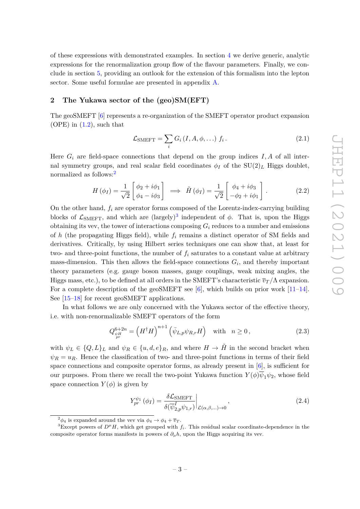of these expressions with demonstrated examples. In section [4](#page-13-0) we derive generic, analytic expressions for the renormalization group flow of the flavour parameters. Finally, we conclude in section [5,](#page-16-0) providing an outlook for the extension of this formalism into the lepton sector. Some useful formulae are presented in appendix [A.](#page-17-0)

#### <span id="page-3-0"></span>**2 The Yukawa sector of the (geo)SM(EFT)**

The geoSMEFT [\[6\]](#page-19-4) represents a re-organization of the SMEFT operator product expansion  $(OPE)$  in  $(1.2)$ , such that

$$
\mathcal{L}_{\text{SMEFT}} = \sum_{i} G_i (I, A, \phi, \ldots) f_i.
$$
 (2.1)

Here  $G_i$  are field-space connections that depend on the group indices  $I, A$  of all internal symmetry groups, and real scalar field coordinates  $\phi_I$  of the  $SU(2)_L$  Higgs doublet, normalized as follows:<sup>[2](#page-3-1)</sup>

$$
H(\phi_I) = \frac{1}{\sqrt{2}} \begin{bmatrix} \phi_2 + i\phi_1 \\ \phi_4 - i\phi_3 \end{bmatrix} \implies \tilde{H}(\phi_I) = \frac{1}{\sqrt{2}} \begin{bmatrix} \phi_4 + i\phi_3 \\ -\phi_2 + i\phi_1 \end{bmatrix}.
$$
 (2.2)

On the other hand, *f<sup>i</sup>* are operator forms composed of the Lorentz-index-carrying building blocks of  $\mathcal{L}_{\text{SMEFT}}$ , and which are  $(\text{largely})^3$  $(\text{largely})^3$  independent of  $\phi$ . That is, upon the Higgs obtaining its vev, the tower of interactions composing  $G_i$  reduces to a number and emissions of *h* (the propagating Higgs field), while *f<sup>i</sup>* remains a distinct operator of SM fields and derivatives. Critically, by using Hilbert series techniques one can show that, at least for two- and three-point functions, the number of  $f_i$  saturates to a constant value at arbitrary mass-dimension. This then allows the field-space connections *G<sup>i</sup>* , and thereby important theory parameters (e.g. gauge boson masses, gauge couplings, weak mixing angles, the Higgs mass, etc.), to be defined at all orders in the SMEFT's characteristic  $\overline{v}_T/\Lambda$  expansion. For a complete description of the geoSMEFT see [\[6\]](#page-19-4), which builds on prior work  $[11-14]$  $[11-14]$ . See [\[15–](#page-19-12)[18\]](#page-19-13) for recent geoSMEFT applications.

In what follows we are only concerned with the Yukawa sector of the effective theory, i.e. with non-renormalizable SMEFT operators of the form

<span id="page-3-4"></span>
$$
Q_{\psi H}^{6+2n} = \left(H^{\dagger} H\right)^{n+1} \left(\bar{\psi}_{L,p} \psi_{R,r} H\right) \quad \text{with} \quad n \ge 0, \tag{2.3}
$$

with  $\psi_L \in \{Q, L\}_L$  and  $\psi_R \in \{u, d, e\}_R$ , and where  $H \to \tilde{H}$  in the second bracket when  $\psi_R = u_R$ . Hence the classification of two- and three-point functions in terms of their field space connections and composite operator forms, as already present in  $[6]$ , is sufficient for our purposes. From there we recall the two-point Yukawa function  $Y(\phi)\overline{\psi}_1\psi_2$ , whose field space connection  $Y(\phi)$  is given by

<span id="page-3-3"></span>
$$
Y_{pr}^{\psi_1}(\phi_I) = \frac{\delta \mathcal{L}_{\text{SMEFT}}}{\delta(\overline{\psi}_{2,p}^I \psi_{1,r})} \bigg|_{\mathcal{L}(\alpha,\beta,\dots)\to 0},\tag{2.4}
$$

<span id="page-3-2"></span><span id="page-3-1"></span><sup>&</sup>lt;sup>2</sup> $\phi_4$  is expanded around the vev via  $\phi_4 \rightarrow \phi_4 + \overline{v}_T$ .

<sup>&</sup>lt;sup>3</sup>Except powers of  $D^{\mu}H$ , which get grouped with  $f_i$ . This residual scalar coordinate-dependence in the composite operator forms manifests in powers of  $\partial_{\mu}h$ , upon the Higgs acquiring its vev.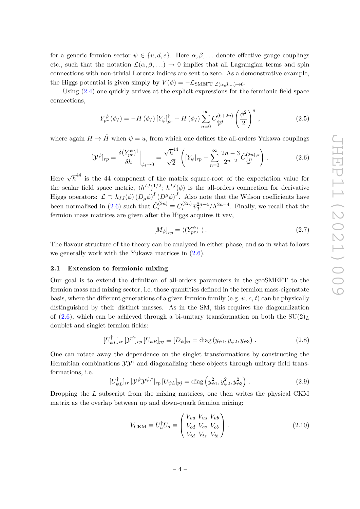for a generic fermion sector  $\psi \in \{u, d, e\}$ . Here  $\alpha, \beta, \dots$  denote effective gauge couplings etc., such that the notation  $\mathcal{L}(\alpha,\beta,\ldots) \to 0$  implies that all Lagrangian terms and spin connections with non-trivial Lorentz indices are sent to zero. As a demonstrative example, the Higgs potential is given simply by  $V(\phi) = -\mathcal{L}_{\text{SMEFT}}|_{\mathcal{L}(\alpha,\beta,\ldots)\to 0}$ .

Using [\(2.4\)](#page-3-3) one quickly arrives at the explicit expressions for the fermionic field space connections,

$$
Y_{pr}^{\psi}(\phi_{I}) = -H(\phi_{I}) \left[ Y_{\psi} \right]_{pr}^{\dagger} + H(\phi_{I}) \sum_{n=0}^{\infty} C_{\psi_{I}^{H}}^{(6+2n)} \left( \frac{\phi^{2}}{2} \right)^{n}, \qquad (2.5)
$$

where again  $H \to \tilde{H}$  when  $\psi = u$ , from which one defines the all-orders Yukawa couplings

<span id="page-4-1"></span>
$$
[\mathcal{Y}^{\psi}]_{rp} = \frac{\delta(Y_{pr}^{\psi})^{\dagger}}{\delta h}\Big|_{\phi_i \to 0} = \frac{\sqrt{h}^{44}}{\sqrt{2}} \left( [Y_{\psi}]_{rp} - \sum_{n=3}^{\infty} \frac{2n-3}{2^{n-2}} \tilde{C}_{\psi H}^{(2n), \star} \right). \tag{2.6}
$$

Here  $\sqrt{h}^{44}$  is the 44 component of the matrix square-root of the expectation value for the scalar field space metric,  $\langle h^{IJ} \rangle^{1/2}$ ;  $h^{IJ}(\phi)$  is the all-orders connection for derivative Higgs operators:  $\mathcal{L} \supset h_{IJ}(\phi) (D_\mu \phi)^I (D^\mu \phi)^J$ . Also note that the Wilson coefficients have been normalized in [\(2.6\)](#page-4-1) such that  $\tilde{C}_i^{(2n)} \equiv C_i^{(2n)}$  $\int_i^{(2n)} \overline{v}_T^{2n-4}/\Lambda^{2n-4}$ . Finally, we recall that the fermion mass matrices are given after the Higgs acquires it vev,

$$
[M_{\psi}]_{rp} = \langle (Y_{pr}^{\psi})^{\dagger} \rangle. \tag{2.7}
$$

The flavour structure of the theory can be analyzed in either phase, and so in what follows we generally work with the Yukawa matrices in [\(2.6\)](#page-4-1).

## <span id="page-4-0"></span>**2.1 Extension to fermionic mixing**

Our goal is to extend the definition of all-orders parameters in the geoSMEFT to the fermion mass and mixing sector, i.e. those quantities defined in the fermion mass-eigenstate basis, where the different generations of a given fermion family (e.g. *u*, *c*, *t*) can be physically distinguished by their distinct masses. As in the SM, this requires the diagonalization of [\(2.6\)](#page-4-1), which can be achieved through a bi-unitary transformation on both the  $SU(2)_L$ doublet and singlet fermion fields:

$$
[U_{\psi L}^{\dagger}]_{ir} [\mathcal{Y}^{\psi}]_{rp} [U_{\psi R}]_{pj} \equiv [D_{\psi}]_{ij} = \text{diag}(y_{\psi 1}, y_{\psi 2}, y_{\psi 3}). \qquad (2.8)
$$

One can rotate away the dependence on the singlet transformations by constructing the Hermitian combinations  $\mathcal{Y} \mathcal{Y}^{\dagger}$  and diagonalizing these objects through unitary field transformations, i.e.

$$
[U^{\dagger}_{\psi L}]_{ir} \left[ \mathcal{Y}^{\psi} \mathcal{Y}^{\psi,\dagger} \right]_{rp} [U_{\psi L}]_{pj} = \text{diag} \left( y_{\psi 1}^2, y_{\psi 2}^2, y_{\psi 3}^2 \right) . \tag{2.9}
$$

Dropping the *L* subscript from the mixing matrices, one then writes the physical CKM matrix as the overlap between up and down-quark fermion mixing:

$$
V_{\text{CKM}} \equiv U_u^{\dagger} U_d \equiv \begin{pmatrix} V_{ud} & V_{us} & V_{ub} \\ V_{cd} & V_{cs} & V_{cb} \\ V_{td} & V_{ts} & V_{tb} \end{pmatrix} . \tag{2.10}
$$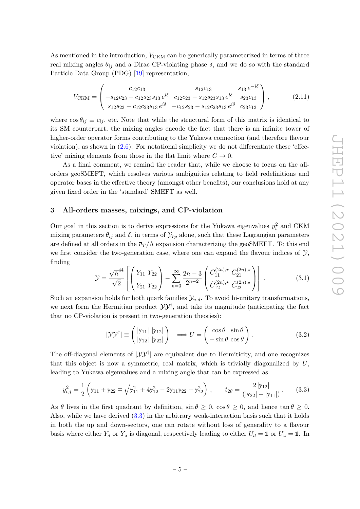As mentioned in the introduction,  $V_{\text{CKM}}$  can be generically parameterized in terms of three real mixing angles  $\theta_{ij}$  and a Dirac CP-violating phase  $\delta$ , and we do so with the standard Particle Data Group (PDG) [\[19\]](#page-20-0) representation,

$$
V_{CKM} = \begin{pmatrix} c_{12}c_{13} & s_{12}c_{13} & s_{13}e^{-i\delta} \\ -s_{12}c_{23} - c_{12}s_{23}s_{13}e^{i\delta} & c_{12}c_{23} - s_{12}s_{23}s_{13}e^{i\delta} & s_{23}c_{13} \\ s_{12}s_{23} - c_{12}c_{23}s_{13}e^{i\delta} & -c_{12}s_{23} - s_{12}c_{23}s_{13}e^{i\delta} & c_{23}c_{13} \end{pmatrix},
$$
(2.11)

where  $\cos \theta_{ij} \equiv c_{ij}$ , etc. Note that while the structural form of this matrix is identical to its SM counterpart, the mixing angles encode the fact that there is an infinite tower of higher-order operator forms contributing to the Yukawa connection (and therefore flavour violation), as shown in  $(2.6)$ . For notational simplicity we do not differentiate these 'effective' mixing elements from those in the flat limit where  $C \to 0$ .

As a final comment, we remind the reader that, while we choose to focus on the allorders geoSMEFT, which resolves various ambiguities relating to field redefinitions and operator bases in the effective theory (amongst other benefits), our conclusions hold at any given fixed order in the 'standard' SMEFT as well.

## <span id="page-5-0"></span>**3 All-orders masses, mixings, and CP-violation**

Our goal in this section is to derive expressions for the Yukawa eigenvalues  $y_i^2$  and CKM mixing parameters  $\theta_{ij}$  and  $\delta$ , in terms of  $\mathcal{Y}_{rp}$  alone, such that these Lagrangian parameters are defined at all orders in the  $\overline{v}_T/\Lambda$  expansion characterizing the geoSMEFT. To this end we first consider the two-generation case, where one can expand the flavour indices of  $\mathcal{Y}$ , finding

$$
\mathcal{Y} = \frac{\sqrt{h}^{44}}{\sqrt{2}} \left[ \begin{pmatrix} Y_{11} & Y_{22} \\ Y_{21} & Y_{22} \end{pmatrix} - \sum_{n=3}^{\infty} \frac{2n-3}{2^{n-2}} \begin{pmatrix} \tilde{C}_{11}^{(2n), \star} & \tilde{C}_{21}^{(2n), \star} \\ \tilde{C}_{12}^{(2n), \star} & \tilde{C}_{22}^{(2n), \star} \end{pmatrix} \right].
$$
 (3.1)

Such an expansion holds for both quark families  $\mathcal{Y}_{u,d}$ . To avoid bi-unitary transformations, we next form the Hermitian product  $\mathcal{Y} \mathcal{Y}^{\dagger}$ , and take its magnitude (anticipating the fact that no CP-violation is present in two-generation theories):

$$
|\mathcal{Y}\mathcal{Y}^{\dagger}| \equiv \begin{pmatrix} |\mathbf{y}_{11}| & |\mathbf{y}_{12}| \\ |\mathbf{y}_{12}| & |\mathbf{y}_{22}| \end{pmatrix} \implies U = \begin{pmatrix} \cos \theta & \sin \theta \\ -\sin \theta & \cos \theta \end{pmatrix}.
$$
 (3.2)

The off-diagonal elements of  $|\mathcal{YY}^{\dagger}|$  are equivalent due to Hermiticity, and one recognizes that this object is now a symmetric, real matrix, which is trivially diagonalized by *U*, leading to Yukawa eigenvalues and a mixing angle that can be expressed as

<span id="page-5-1"></span>
$$
y_{i,j}^2 = \frac{1}{2} \left( y_{11} + y_{22} \mp \sqrt{y_{11}^2 + 4y_{12}^2 - 2y_{11}y_{22} + y_{22}^2} \right), \qquad t_{2\theta} = \frac{2 |y_{12}|}{(|y_{22}| - |y_{11}|)}.
$$
 (3.3)

As  $\theta$  lives in the first quadrant by definition,  $\sin \theta > 0$ ,  $\cos \theta > 0$ , and hence  $\tan \theta > 0$ . Also, while we have derived [\(3.3\)](#page-5-1) in the arbitrary weak-interaction basis such that it holds in both the up and down-sectors, one can rotate without loss of generality to a flavour basis where either  $Y_d$  or  $Y_u$  is diagonal, respectively leading to either  $U_d = \mathbb{1}$  or  $U_u = \mathbb{1}$ . In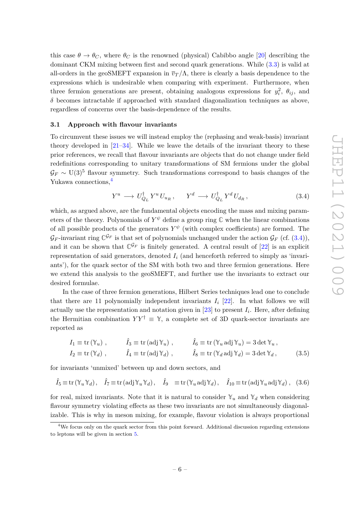this case  $\theta \to \theta_C$ , where  $\theta_C$  is the renowned (physical) Cabibbo angle [\[20\]](#page-20-1) describing the dominant CKM mixing between first and second quark generations. While [\(3.3\)](#page-5-1) is valid at all-orders in the geoSMEFT expansion in  $\overline{v}_T/\Lambda$ , there is clearly a basis dependence to the expressions which is undesirable when comparing with experiment. Furthermore, when three fermion generations are present, obtaining analogous expressions for  $y_i^2$ ,  $\theta_{ij}$ , and  $\delta$  becomes intractable if approached with standard diagonalization techniques as above, regardless of concerns over the basis-dependence of the results.

#### <span id="page-6-0"></span>**3.1 Approach with flavour invariants**

To circumvent these issues we will instead employ the (rephasing and weak-basis) invariant theory developed in  $[21-34]$  $[21-34]$ . While we leave the details of the invariant theory to these prior references, we recall that flavour invariants are objects that do not change under field redefinitions corresponding to unitary transformations of SM fermions under the global  $G_F \sim U(3)^5$  flavour symmetry. Such transformations correspond to basis changes of the Yukawa connections,[4](#page-6-1)

<span id="page-6-2"></span>
$$
Y^u \longrightarrow U_{Q_L}^{\dagger} Y^u U_{u_R}, \qquad Y^d \longrightarrow U_{Q_L}^{\dagger} Y^d U_{d_R}, \qquad (3.4)
$$

which, as argued above, are the fundamental objects encoding the mass and mixing parameters of the theory. Polynomials of  $Y^{\psi}$  define a group ring  $\mathbb C$  when the linear combinations of all possible products of the generators  $Y^{\psi}$  (with complex coefficients) are formed. The  $\mathcal{G}_F$ -invariant ring  $\mathbb{C}^{\mathcal{G}_F}$  is that set of polynomials unchanged under the action  $\mathcal{G}_F$  (cf. [\(3.4\)](#page-6-2)), and it can be shown that  $\mathbb{C}^{\mathcal{G}_F}$  is finitely generated. A central result of [\[22\]](#page-20-4) is an explicit representation of said generators, denoted  $I_i$  (and henceforth referred to simply as 'invariants'), for the quark sector of the SM with both two and three fermion generations. Here we extend this analysis to the geoSMEFT, and further use the invariants to extract our desired formulae.

In the case of three fermion generations, Hilbert Series techniques lead one to conclude that there are 11 polynomially independent invariants  $I_i$  [\[22\]](#page-20-4). In what follows we will actually use the representation and notation given in [\[23\]](#page-20-5) to present *I<sup>i</sup>* . Here, after defining the Hermitian combination  $YY^{\dagger} \equiv \mathcal{Y}$ , a complete set of 3D quark-sector invariants are reported as

<span id="page-6-4"></span><span id="page-6-3"></span>
$$
I_1 \equiv \text{tr}(\mathbb{Y}_u) , \qquad \hat{I}_3 \equiv \text{tr}(\text{adj}\,\mathbb{Y}_u) , \qquad \hat{I}_6 \equiv \text{tr}(\mathbb{Y}_u \text{ adj}\,\mathbb{Y}_u) = 3 \det \mathbb{Y}_u ,
$$
  
\n
$$
I_2 \equiv \text{tr}(\mathbb{Y}_d) , \qquad \hat{I}_4 \equiv \text{tr}(\text{adj}\,\mathbb{Y}_d) , \qquad \hat{I}_8 \equiv \text{tr}(\mathbb{Y}_d \text{ adj}\,\mathbb{Y}_d) = 3 \det \mathbb{Y}_d , \qquad (3.5)
$$

for invariants 'unmixed' between up and down sectors, and

$$
\hat{I}_5 \equiv \text{tr}(\mathbb{Y}_u \mathbb{Y}_d), \quad \hat{I}_7 \equiv \text{tr}(\text{adj}\,\mathbb{Y}_u \mathbb{Y}_d), \quad \hat{I}_9 \equiv \text{tr}(\mathbb{Y}_u \text{adj}\,\mathbb{Y}_d), \quad \hat{I}_{10} \equiv \text{tr}(\text{adj}\,\mathbb{Y}_u \text{adj}\,\mathbb{Y}_d), \quad (3.6)
$$

for real, mixed invariants. Note that it is natural to consider  $\mathbb{Y}_u$  and  $\mathbb{Y}_d$  when considering flavour symmetry violating effects as these two invariants are not simultaneously diagonalizable. This is why in meson mixing, for example, flavour violation is always proportional

<span id="page-6-1"></span><sup>4</sup>We focus only on the quark sector from this point forward. Additional discussion regarding extensions to leptons will be given in section [5.](#page-16-0)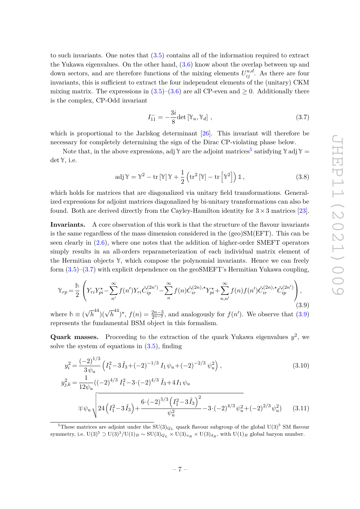to such invariants. One notes that [\(3.5\)](#page-6-3) contains all of the information required to extract the Yukawa eigenvalues. On the other hand,  $(3.6)$  know about the overlap between up and down sectors, and are therefore functions of the mixing elements  $U_{ij}^{u,d}$ . As there are four invariants, this is sufficient to extract the four independent elements of the (unitary) CKM mixing matrix. The expressions in  $(3.5)-(3.6)$  $(3.5)-(3.6)$  $(3.5)-(3.6)$  are all CP-even and  $\geq 0$ . Additionally there is the complex, CP-Odd invariant

<span id="page-7-1"></span>
$$
I_{11}^- = -\frac{3i}{8} \det \left[ \mathbb{Y}_u, \mathbb{Y}_d \right], \tag{3.7}
$$

which is proportional to the Jarlskog determinant [\[26\]](#page-20-6). This invariant will therefore be necessary for completely determining the sign of the Dirac CP-violating phase below.

Note that, in the above expressions, adj  $\mathbb{Y}$  are the adjoint matrices<sup>[5](#page-7-0)</sup> satisfying  $\mathbb{Y}$  adj  $\mathbb{Y}$  = det **Y**, i.e.

$$
adj \mathbb{Y} = \mathbb{Y}^2 - tr [\mathbb{Y}] \mathbb{Y} + \frac{1}{2} (tr^2 [\mathbb{Y}] - tr [\mathbb{Y}^2]) \mathbb{1},
$$
\n(3.8)

which holds for matrices that are diagonalized via unitary field transformations. Generalized expressions for adjoint matrices diagonalized by bi-unitary transformations can also be found. Both are derived directly from the Cayley-Hamilton identity for  $3 \times 3$  matrices [\[23\]](#page-20-5).

**Invariants.** A core observation of this work is that the structure of the flavour invariants is the same regardless of the mass dimension considered in the (geo)SM(EFT). This can be seen clearly in [\(2.6\)](#page-4-1), where one notes that the addition of higher-order SMEFT operators simply results in an all-orders reparameterization of each individual matrix element of the Hermitian objects **Y**, which compose the polynomial invariants. Hence we can freely form [\(3.5\)](#page-6-3)–[\(3.7\)](#page-7-1) with explicit dependence on the geoSMEFT's Hermitian Yukawa coupling,

<span id="page-7-2"></span>
$$
\mathbb{Y}_{rp} = \frac{\hbar}{2} \left( Y_{ri} Y_{pi}^{\star} - \sum_{n'}^{\infty} f(n') Y_{ri} \tilde{C}_{ip}^{(2n')} - \sum_{n}^{\infty} f(n) \tilde{C}_{ir}^{(2n),\star} Y_{pi}^{\star} + \sum_{n,n'}^{\infty} f(n) f(n') \tilde{C}_{ir}^{(2n),\star} \tilde{C}_{ip}^{(2n')} \right),
$$
\n(3.9)

where  $h \equiv ($  $\overline{h}^{44}$ )( $\sqrt{h}^{44}$ )<sup>\*</sup>,  $f(n) = \frac{2n-3}{2^{n-2}}$ , and analogously for  $f(n')$ . We observe that [\(3.9\)](#page-7-2) represents the fundamental BSM object in this formalism.

**Quark masses.** Proceeding to the extraction of the quark Yukawa eigenvalues  $y^2$ , we solve the system of equations in [\(3.5\)](#page-6-3), finding

<span id="page-7-4"></span><span id="page-7-3"></span>
$$
y_i^2 = \frac{(-2)^{1/3}}{3\psi_u} \left( I_1^2 - 3\hat{I}_3 + (-2)^{-1/3} I_1 \psi_u + (-2)^{-2/3} \psi_u^2 \right),
$$
\n
$$
y_{j,k}^2 = \frac{1}{12\psi_u} ((-2)^{4/3} I_1^2 - 3 \cdot (-2)^{4/3} \hat{I}_3 + 4I_1 \psi_u + (2 \cdot 4I_1 \psi_u + (2 \cdot 4I_1 \psi_u + (2 \cdot 4I_1 \psi_u + (2 \cdot 4I_1 \psi_u + (2 \cdot 4I_1 \psi_u + (2 \cdot 4I_1 \psi_u + (2 \cdot 4I_1 \psi_u + (2 \cdot 4I_1 \psi_u + (2 \cdot 4I_1 \psi_u + (2 \cdot 4I_1 \psi_u + (2 \cdot 4I_1 \psi_u + (2 \cdot 4I_1 \psi_u + (2 \cdot 4I_1 \psi_u + (2 \cdot 4I_1 \psi_u + (2 \cdot 4I_1 \psi_u + (2 \cdot 4I_1 \psi_u + (2 \cdot 4I_1 \psi_u + (2 \cdot 4I_1 \psi_u + (2 \cdot 4I_1 \psi_u + (2 \cdot 4I_1 \psi_u + (2 \cdot 4I_1 \psi_u + (2 \cdot 4I_1 \psi_u + (2 \cdot 4I_1 \psi_u + (2 \cdot 4I_1 \psi_u + (2 \cdot 4I_1 \psi_u + (2 \cdot 4I_1 \psi_u + (2 \cdot 4I_1 \psi_u + (2 \cdot 4I_1 \psi_u + (2 \cdot 4I_1 \psi_u + (2 \cdot 4I_1 \psi_u + (2 \cdot 4I_1 \psi_u + (2 \cdot 4I_1 \psi_u + (2 \cdot 4I_1 \psi_u + (2 \cdot 4I_1 \psi_u + (2 \cdot 4I_1 \psi_u + (2 \cdot 4I_1 \psi_u + (2 \cdot 4I_1 \psi_u + (2 \cdot 4I_1 \psi_u + (2 \cdot 4I_1 \psi_u + (2 \cdot 4I_1 \psi_u + (2 \cdot 4I_1 \psi_u + (2 \cdot 4I_1 \psi_u + (2 \cdot 4I_1 \psi_u + (2 \cdot 4I_1 \psi_u + (2 \cdot 4I_1 \psi_u + (2 \cdot 4I_1 \psi_u + (2 \cdot 4I_1 \psi_u + (2 \cdot
$$

<span id="page-7-0"></span><sup>&</sup>lt;sup>5</sup>These matrices are adjoint under the  $SU(3)_{Q_L}$  quark flavour subgroup of the global  $U(3)^5$  SM flavour symmetry, i.e.  $U(3)^5 \supset U(3)^3/U(1)_B \sim SU(3)_{Q_L} \times U(3)_{u_R} \times U(3)_{d_R}$ , with  $U(1)_B$  global baryon number.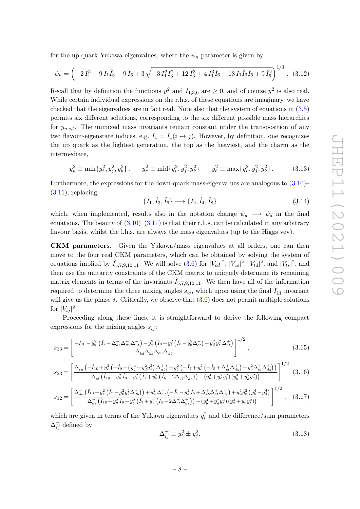for the up-quark Yukawa eigenvalues, where the  $\psi_u$  parameter is given by

$$
\psi_u = \left(-2\,I_1^3 + 9\,I_1\hat{I}_3 - 9\,\hat{I}_6 + 3\,\sqrt{-3\,I_1^2\hat{I}_3^2 + 12\,\hat{I}_3^3 + 4\,I_1^3\hat{I}_6 - 18\,I_1\hat{I}_3\hat{I}_6 + 9\,\hat{I}_6^2}\right)^{1/3}.\tag{3.12}
$$

Recall that by definition the functions  $y^2$  and  $I_{1,3,6}$  are  $\geq 0$ , and of course  $y^2$  is also real. While certain individual expressions on the r.h.s. of these equations are imaginary, we have checked that the eigenvalues are in fact real. Note also that the system of equations in [\(3.5\)](#page-6-3) permits six different solutions, corresponding to the six different possible mass hierarchies for *yu,c,t*. The unmixed mass invariants remain constant under the transposition of any two flavour-eigenstate indices, e.g.  $I_1 = I_1(i \leftrightarrow j)$ . However, by definition, one recognizes the up quark as the lightest generation, the top as the heaviest, and the charm as the intermediate,

$$
y_u^2 \equiv \min\{y_i^2, y_j^2, y_k^2\}, \qquad y_c^2 \equiv \min\{y_i^2, y_j^2, y_k^2\} \qquad y_t^2 \equiv \max\{y_i^2, y_j^2, y_k^2\}.
$$
 (3.13)

Furthermore, the expressions for the down-quark mass-eigenvalues are analogous to  $(3.10)$ –  $(3.11)$ , replacing

<span id="page-8-2"></span>
$$
\{I_1, \hat{I}_3, \hat{I}_6\} \longrightarrow \{I_2, \hat{I}_4, \hat{I}_8\}
$$
\n(3.14)

which, when implemented, results also in the notation change  $\psi_u \longrightarrow \psi_d$  in the final equations. The beauty of  $(3.10)$ – $(3.11)$  is that their r.h.s. can be calculated in any arbitrary flavour basis, whilst the l.h.s. are always the mass eigenvalues (up to the Higgs vev).

**CKM parameters.** Given the Yukawa/mass eigenvalues at all orders, one can then move to the four real CKM parameters, which can be obtained by solving the system of equations implied by  $\hat{I}_{5,7,9,10,11}$ . We will solve  $(3.6)$  for  $|V_{cd}|^2$ ,  $|V_{cs}|^2$ ,  $|V_{td}|^2$ , and  $|V_{ts}|^2$ , and then use the unitarity constraints of the CKM matrix to uniquely determine its remaining matrix elements in terms of the invariants  $\hat{I}_{5,7,9,10,11}$ . We then have all of the information required to determine the three mixing angles  $s_{ij}$ , which upon using the final  $I_{11}^-$  invariant will give us the phase  $\delta$ . Critically, we observe that  $(3.6)$  does not permit multiple solutions for  $|V_{ij}|^2$ .

Proceeding along these lines, it is straightforward to derive the following compact expressions for the mixing angles  $s_{ij}$ :

$$
s_{13} = \left[ \frac{-\hat{I}_{10} - y_b^2 \left( \hat{I}_7 - \Delta_{ds}^+ \Delta_{uc}^+ \Delta_{ut}^+ \right) - y_u^2 \left( \hat{I}_9 + y_b^2 \left( \hat{I}_5 - y_b^2 \Delta_{ct}^+ \right) - y_d^2 y_s^2 \Delta_{ct}^+ \right)}{\Delta_{bd}^- \Delta_{bs}^- \Delta_{cu}^- \Delta_{ut}^-} \right]^{1/2}, \qquad (3.15)
$$

$$
s_{23} = \left[ \frac{\Delta_{tu}^{-} \left( -\hat{I}_{10} + y_c^2 \left( -\hat{I}_9 + \left( y_b^4 + y_d^2 y_s^2 \right) \Delta_{ut}^{+} \right) + y_b^2 \left( -\hat{I}_7 + y_c^2 \left( -\hat{I}_5 + \Delta_{ct}^{+} \Delta_{ds}^{+} \right) + y_u^2 \Delta_{ct}^{+} \Delta_{ds}^{+} \right) \right)}{\Delta_{ct}^{-} \left( \hat{I}_{10} + y_u^2 \hat{I}_9 + y_b^2 \left( \hat{I}_7 + y_u^2 \left( \hat{I}_5 - 2 \Delta_{ct}^{+} \Delta_{ds}^{+} \right) \right) - \left( y_u^4 + y_c^2 y_t^2 \right) \left( y_b^4 + y_d^2 y_s^2 \right) \right)} \right]^{1/2} \tag{3.16}
$$

$$
s_{12} = \left[ \frac{\Delta_{db}^{-}(\hat{I}_{10} + y_s^2(\hat{I}_{7} - y_c^2 y_t^2 \Delta_{db}^{+})) + y_u^2 \Delta_{bd}^{-}(-\hat{I}_{9} - y_s^2 \hat{I}_{5} + \Delta_{sb}^{+} \Delta_{ct}^{+} \Delta_{ds}^{+}) + y_u^4 y_s^2 (y_b^4 - y_d^4)}{\Delta_{ds}^{-}(\hat{I}_{10} + y_u^2 \hat{I}_{9} + y_b^2(\hat{I}_{7} + y_u^2(\hat{I}_{5} - 2\Delta_{ct}^{+} \Delta_{ds}^{+})) - (y_b^4 + y_d^2 y_s^2)(y_u^4 + y_c^2 y_t^2)} \right]^{1/2}, \quad (3.17)
$$

which are given in terms of the Yukawa eigenvalues  $y_i^2$  and the difference/sum parameters  $\Delta_{ij}^{\pm}$  defined by

<span id="page-8-1"></span><span id="page-8-0"></span>
$$
\Delta_{ij}^{\pm} \equiv y_i^2 \pm y_j^2. \tag{3.18}
$$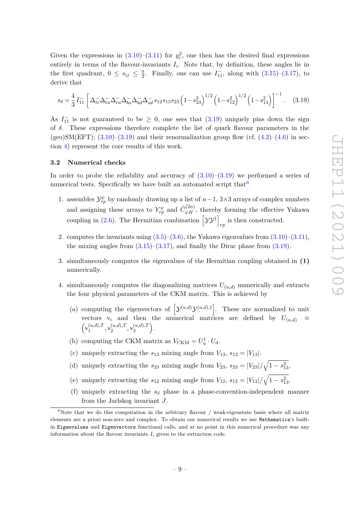Given the expressions in  $(3.10)$ – $(3.11)$  for  $y_i^2$ , one then has the desired final expressions entirely in terms of the flavour-invariants  $I_i$ . Note that, by definition, these angles lie in the first quadrant,  $0 \leq s_{ij} \leq \frac{\pi}{2}$  $\frac{\pi}{2}$ . Finally, one can use  $I_{11}^-$ , along with  $(3.15)-(3.17)$  $(3.15)-(3.17)$  $(3.15)-(3.17)$ , to derive that

<span id="page-9-1"></span>
$$
s_{\delta} = \frac{4}{3} I_{11} \left[ \Delta_{tc}^{-} \Delta_{tu}^{-} \Delta_{cu}^{-} \Delta_{bs}^{-} \Delta_{bd}^{-} \Delta_{sd}^{-} s_{12} s_{13} s_{23} \left( 1 - s_{23}^2 \right)^{1/2} \left( 1 - s_{12}^2 \right)^{1/2} \left( 1 - s_{13}^2 \right) \right]^{-1} . \quad (3.19)
$$

As  $I_{11}^-$  is not guaranteed to be  $\geq 0$ , one sees that [\(3.19\)](#page-9-1) uniquely pins down the sign of *δ*. These expressions therefore complete the list of quark flavour parameters in the (geo)SM(EFT);  $(3.10)$ – $(3.19)$  and their renormalization group flow (cf.  $(4.2)$ – $(4.6)$  in section [4\)](#page-13-0) represent the core results of this work.

#### <span id="page-9-0"></span>**3.2 Numerical checks**

In order to probe the reliability and accuracy of  $(3.10)$ – $(3.19)$  we performed a series of numerical tests. Specifically we have built an automated script that  $6$ 

- 1. assembles  $\mathcal{Y}_{rp}^{\psi}$  by randomly drawing up a list of *n*-1, 3×3 arrays of complex numbers and assigning these arrays to  $Y_{rp}^{\psi}$  and  $\tilde{C}_{\psi H}^{(2n)}$ , thereby forming the effective Yukawa coupling in [\(2.6\)](#page-4-1). The Hermitian combination  $[\mathcal{YY}^{\dagger}]$ *rp* is then constructed.
- 2. computes the invariants using  $(3.5)$ – $(3.6)$ , the Yukawa eigenvalues from  $(3.10)$ – $(3.11)$ , the mixing angles from  $(3.15)$ – $(3.17)$ , and finally the Dirac phase from  $(3.19)$ .
- 3. simultaneously computes the eigenvalues of the Hermitian coupling obtained in **(1)** numerically.
- 4. simultaneously computes the diagonalizing matrices  $U_{(u,d)}$  numerically and extracts the four physical parameters of the CKM matrix. This is achieved by
	- (a) computing the eigenvectors of  $[\mathcal{Y}^{(u,d)}\mathcal{Y}^{(u,d),\dagger}]$ . These are normalized to unit vectors  $\mathbf{v}_i$  and then the numerical matrices are defined by  $U_{(u,d)} \equiv$  $\left(\mathbf{v}_1^{(u,d),T}\right)$  $\binom{(u,d),T}{1}, \vee \binom{(u,d),T}{2}$  $\frac{(u,d),T}{2}, \sqrt[n]{3}$  $\binom{(u,d),T}{3}$ .
	- (b) computing the CKM matrix as  $V_{\text{CKM}} = U_u^{\dagger} \cdot U_d$ .
	- (c) uniquely extracting the  $s_{13}$  mixing angle from  $V_{13}$ ,  $s_{13} = |V_{13}|$ .
	- (d) uniquely extracting the  $s_{23}$  mixing angle from  $V_{23}$ ,  $s_{23} = |V_{23}| / \sqrt{1 s_{13}^2}$ .
	- (e) uniquely extracting the  $s_{12}$  mixing angle from  $V_{12}$ ,  $s_{12} = |V_{12}| / \sqrt{1 s_{13}^2}$ .
	- (f) uniquely extracting the  $s<sub>δ</sub>$  phase in a phase-convention-independent manner from the Jarlskog invariant *J*.

<span id="page-9-2"></span><sup>&</sup>lt;sup>6</sup>Note that we do this computation in the arbitrary flavour / weak-eigenstate basis where all matrix elements are a priori non-zero and complex. To obtain our numerical results we use Mathematica's builtin Eigenvalues and Eigenvectors functional calls, and at no point in this numerical procedure was any information about the flavour invariants  $I_i$  given to the extraction code.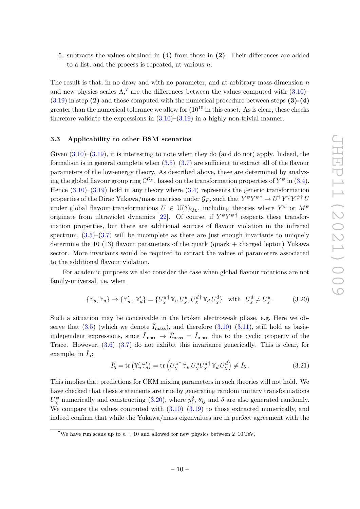5. subtracts the values obtained in **(4)** from those in **(2)**. Their differences are added to a list, and the process is repeated, at various *n*.

The result is that, in no draw and with no parameter, and at arbitrary mass-dimension *n* and new physics scales  $\Lambda$ ,<sup>[7](#page-10-1)</sup> are the differences between the values computed with  $(3.10)$ [\(3.19\)](#page-9-1) in step **(2)** and those computed with the numerical procedure between steps **(3)-(4)** greater than the numerical tolerance we allow for  $(10^{10}$  in this case). As is clear, these checks therefore validate the expressions in  $(3.10)$ – $(3.19)$  in a highly non-trivial manner.

#### <span id="page-10-0"></span>**3.3 Applicability to other BSM scenarios**

Given  $(3.10)$ – $(3.19)$ , it is interesting to note when they do (and do not) apply. Indeed, the formalism is in general complete when  $(3.5)-(3.7)$  $(3.5)-(3.7)$  $(3.5)-(3.7)$  are sufficient to extract all of the flavour parameters of the low-energy theory. As described above, these are determined by analyzing the global flavour group ring  $\mathbb{C}^{\mathcal{G}_F}$ , based on the transformation properties of  $Y^{\psi}$  in [\(3.4\)](#page-6-2). Hence  $(3.10)$ – $(3.19)$  hold in any theory where  $(3.4)$  represents the generic transformation  $p$  properties of the Dirac Yukawa/mass matrices under  $\mathcal{G}_F$ , such that  $Y^\psi Y^\psi{}^\dagger \to U^\dagger Y^\psi Y^\psi{}^\dagger U$ under global flavour transformations  $U \in U(3)_{Q_L}$ , including theories where  $Y^{\psi}$  or  $M^{\psi}$ originate from ultraviolet dynamics [\[22\]](#page-20-4). Of course, if  $Y^{\psi}Y^{\psi}$ <sup>†</sup> respects these transformation properties, but there are additional sources of flavour violation in the infrared spectrum,  $(3.5)$ – $(3.7)$  will be incomplete as there are just enough invariants to uniquely determine the 10 (13) flavour parameters of the quark (quark  $+$  charged lepton) Yukawa sector. More invariants would be required to extract the values of parameters associated to the additional flavour violation.

For academic purposes we also consider the case when global flavour rotations are not family-universal, i.e. when

<span id="page-10-2"></span>
$$
\{\mathbb{Y}_u, \mathbb{Y}_d\} \to \{\mathbb{Y}'_u, \mathbb{Y}'_d\} = \{U_\chi^{u\dagger} \mathbb{Y}_u U_\chi^u, U_\chi^{d\dagger} \mathbb{Y}_d U_\chi^d\} \quad \text{with} \ \ U_\chi^d \neq U_\chi^u. \tag{3.20}
$$

Such a situation may be conceivable in the broken electroweak phase, e.g. Here we observe that  $(3.5)$  (which we denote  $\hat{I}_{\text{mass}}$ ), and therefore  $(3.10)$ – $(3.11)$ , still hold as basisindependent expressions, since  $\hat{I}_{\text{mass}} \to \hat{I}'_{\text{mass}} = \hat{I}_{\text{mass}}$  due to the cyclic property of the Trace. However,  $(3.6)$ – $(3.7)$  do not exhibit this invariance generically. This is clear, for example, in  $\hat{I}_5$ :

$$
\hat{I}'_5 = \text{tr} \left( \mathbb{Y}'_u \mathbb{Y}'_d \right) = \text{tr} \left( U_\chi^{u\dagger} \mathbb{Y}_u U_\chi^{u} U_\chi^{d\dagger} \mathbb{Y}_d U_\chi^d \right) \neq \hat{I}_5 \,. \tag{3.21}
$$

This implies that predictions for CKM mixing parameters in such theories will not hold. We have checked that these statements are true by generating random unitary transformations  $U_X^{\psi}$  numerically and constructing [\(3.20\)](#page-10-2), where  $y_i^2$ ,  $\theta_{ij}$  and  $\delta$  are also generated randomly. We compare the values computed with  $(3.10)$ – $(3.19)$  to those extracted numerically, and indeed confirm that while the Yukawa/mass eigenvalues are in perfect agreement with the

<span id="page-10-1"></span><sup>&</sup>lt;sup>7</sup>We have run scans up to  $n = 10$  and allowed for new physics between 2–10 TeV.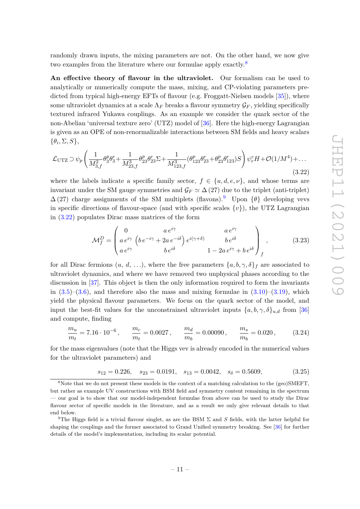randomly drawn inputs, the mixing parameters are not. On the other hand, we now give two examples from the literature where our formulae apply exactly.<sup>[8](#page-11-0)</sup>

**An effective theory of flavour in the ultraviolet.** Our formalism can be used to analytically or numerically compute the mass, mixing, and CP-violating parameters pre-dicted from typical high-energy EFTs of flavour (e.g. Froggatt-Nielsen models [\[35\]](#page-20-7)), where some ultraviolet dynamics at a scale  $\Lambda_F$  breaks a flavour symmetry  $\mathcal{G}_F$ , yielding specifically textured infrared Yukawa couplings. As an example we consider the quark sector of the non-Abelian 'universal texture zero' (UTZ) model of [\[36\]](#page-20-8). Here the high-energy Lagrangian is given as an OPE of non-renormalizable interactions between SM fields and heavy scalars {*θ<sup>i</sup> ,* Σ*, S*},

<span id="page-11-2"></span>
$$
\mathcal{L}_{\text{UTZ}} \supset \psi_p \left( \frac{1}{M_{3,f}^2} \theta_3^p \theta_3^r + \frac{1}{M_{23,f}^3} \theta_{23}^p \theta_{23}^r \Sigma + \frac{1}{M_{123,f}^3} (\theta_{123}^p \theta_{23}^r + \theta_{23}^p \theta_{123}^r) S \right) \psi_r^c H + \mathcal{O}(1/M^4) + \dots
$$
\n(3.22)

where the labels indicate a specific family sector,  $f \in \{u, d, e, \nu\}$ , and whose terms are invariant under the SM gauge symmetries and  $\mathcal{G}_F \simeq \Delta(27)$  due to the triplet (anti-triplet)  $\Delta$ (27) charge assignments of the SM multiplets (flavons).<sup>[9](#page-11-1)</sup> Upon  $\{\theta\}$  developing vevs in specific directions of flavour-space (and with specific scales  $\{v\}$ ), the UTZ Lagrangian in [\(3.22\)](#page-11-2) populates Dirac mass matrices of the form

$$
\mathcal{M}_f^D = \begin{pmatrix} 0 & a e^{i\gamma} & a e^{i\gamma} \\ a e^{i\gamma} \left( b e^{-i\gamma} + 2a e^{-i\delta} \right) e^{i(\gamma + \delta)} & b e^{i\delta} \\ a e^{i\gamma} & b e^{i\delta} & 1 - 2a e^{i\gamma} + b e^{i\delta} \end{pmatrix}_f, \tag{3.23}
$$

for all Dirac fermions  $(u, d, \ldots)$ , where the free parameters  $\{a, b, \gamma, \delta\}_f$  are associated to ultraviolet dynamics, and where we have removed two unphysical phases according to the discussion in [\[37\]](#page-20-9). This object is then the only information required to form the invariants in  $(3.5)$ – $(3.6)$ , and therefore also the mass and mixing formulae in  $(3.10)$ – $(3.19)$ , which yield the physical flavour parameters. We focus on the quark sector of the model, and input the best-fit values for the unconstrained ultraviolet inputs  $\{a, b, \gamma, \delta\}_{u,d}$  from [\[36\]](#page-20-8) and compute, finding

$$
\frac{m_u}{m_t} = 7.16 \cdot 10^{-6}, \qquad \frac{m_c}{m_t} = 0.0027, \qquad \frac{m_d}{m_b} = 0.00090, \qquad \frac{m_s}{m_b} = 0.020, \tag{3.24}
$$

for the mass eigenvalues (note that the Higgs vev is already encoded in the numerical values for the ultraviolet parameters) and

$$
s_{12} = 0.226
$$
,  $s_{23} = 0.0191$ ,  $s_{13} = 0.0042$ ,  $s_{\delta} = 0.5609$ , (3.25)

<span id="page-11-0"></span><sup>&</sup>lt;sup>8</sup>Note that we do not present these models in the context of a matching calculation to the (geo)SMEFT, but rather as example UV constructions with BSM field and symmetry content remaining in the spectrum — our goal is to show that our model-independent formulae from above can be used to study the Dirac flavour sector of specific models in the literature, and as a result we only give relevant details to that end below.

<span id="page-11-1"></span><sup>&</sup>lt;sup>9</sup>The Higgs field is a trivial flavour singlet, as are the BSM  $\Sigma$  and  $S$  fields, with the latter helpful for shaping the couplings and the former associated to Grand Unified symmetry breaking. See [\[36\]](#page-20-8) for further details of the model's implementation, including its scalar potential.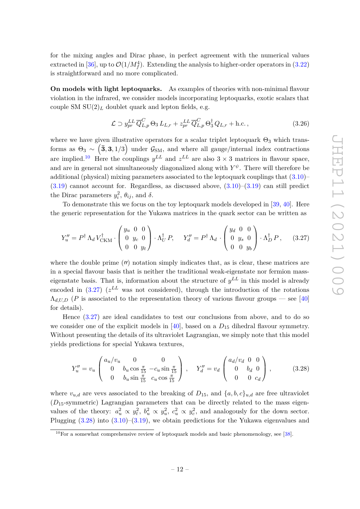for the mixing angles and Dirac phase, in perfect agreement with the numerical values extracted in [\[36\]](#page-20-8), up to  $\mathcal{O}(1/M_f^4)$ . Extending the analysis to higher-order operators in [\(3.22\)](#page-11-2) is straightforward and no more complicated.

**On models with light leptoquarks.** As examples of theories with non-minimal flavour violation in the infrared, we consider models incorporating leptoquarks, exotic scalars that couple SM  $SU(2)_L$  doublet quark and lepton fields, e.g.

$$
\mathcal{L} \supset y_{pr}^{LL} \overline{Q}_{L,p}^{C} \Theta_3 L_{L,r} + z_{pr}^{LL} \overline{Q}_{L,p}^{C} \Theta_3^{\dagger} Q_{L,r} + \text{h.c.}, \qquad (3.26)
$$

where we have given illustrative operators for a scalar triplet leptoquark  $\Theta_3$  which transforms as  $\Theta_3 \sim (\mathbf{\bar{3}}, \mathbf{3}, 1/3)$  under  $\mathcal{G}_{\text{SM}}$ , and where all gauge/internal index contractions are implied.<sup>[10](#page-12-0)</sup> Here the couplings  $y^{LL}$  and  $z^{LL}$  are also  $3 \times 3$  matrices in flavour space, and are in general not simultaneously diagonalized along with  $Y^{\psi}$ . There will therefore be additional (physical) mixing parameters associated to the leptoquark couplings that [\(3.10\)](#page-7-3)–  $(3.19)$  cannot account for. Regardless, as discussed above,  $(3.10)$ – $(3.19)$  can still predict the Dirac parameters  $y_i^2$ ,  $\theta_{ij}$ , and  $\delta$ .

To demonstrate this we focus on the toy leptoquark models developed in [\[39,](#page-21-0) [40\]](#page-21-1). Here the generic representation for the Yukawa matrices in the quark sector can be written as

<span id="page-12-1"></span>
$$
Y_u'' = P^{\dagger} \Lambda_d V_{\text{CKM}}^{\dagger} \cdot \begin{pmatrix} y_u & 0 & 0 \\ 0 & y_c & 0 \\ 0 & 0 & y_t \end{pmatrix} \cdot \Lambda_U^{\dagger} P, \quad Y_d'' = P^{\dagger} \Lambda_d \cdot \begin{pmatrix} y_d & 0 & 0 \\ 0 & y_s & 0 \\ 0 & 0 & y_b \end{pmatrix} \cdot \Lambda_D^{\dagger} P, \quad (3.27)
$$

where the double prime  $(\prime\prime)$  notation simply indicates that, as is clear, these matrices are in a special flavour basis that is neither the traditional weak-eigenstate nor fermion masseigenstate basis. That is, information about the structure of  $y^{LL}$  in this model is already encoded in  $(3.27)$   $(z^{LL}$  was not considered), through the introduction of the rotations  $\Lambda_{d,U,D}$  (*P* is associated to the representation theory of various flavour groups — see [\[40\]](#page-21-1) for details).

Hence [\(3.27\)](#page-12-1) are ideal candidates to test our conclusions from above, and to do so we consider one of the explicit models in  $[40]$ , based on a  $D_{15}$  dihedral flavour symmetry. Without presenting the details of its ultraviolet Lagrangian, we simply note that this model yields predictions for special Yukawa textures,

<span id="page-12-2"></span>
$$
Y_u'' = v_u \begin{pmatrix} a_u/v_u & 0 & 0 \\ 0 & b_u \cos \frac{\pi}{15} & -c_u \sin \frac{\pi}{15} \\ 0 & b_u \sin \frac{\pi}{15} & c_u \cos \frac{\pi}{15} \end{pmatrix}, \quad Y_d'' = v_d \begin{pmatrix} a_d/v_d & 0 & 0 \\ 0 & b_d & 0 \\ 0 & 0 & c_d \end{pmatrix}, \quad (3.28)
$$

where  $v_{u,d}$  are vevs associated to the breaking of  $D_{15}$ , and  $\{a, b, c\}_{u,d}$  are free ultraviolet (*D*15-symmetric) Lagrangian parameters that can be directly related to the mass eigenvalues of the theory:  $a_u^2 \propto y_t^2$ ,  $b_u^2 \propto y_u^2$ ,  $c_u^2 \propto y_c^2$ , and analogously for the down sector. Plugging [\(3.28\)](#page-12-2) into [\(3.10\)](#page-7-3)–[\(3.19\)](#page-9-1), we obtain predictions for the Yukawa eigenvalues and

<span id="page-12-0"></span> $10$ For a somewhat comprehensive review of leptoquark models and basic phenomenology, see [\[38\]](#page-20-10).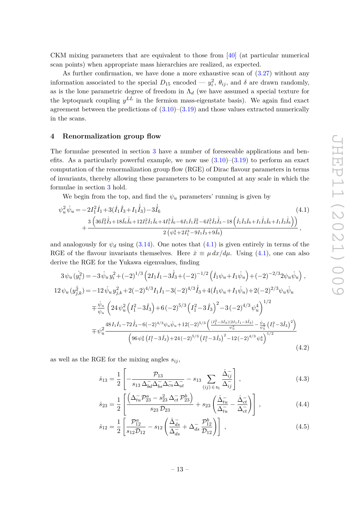CKM mixing parameters that are equivalent to those from [\[40\]](#page-21-1) (at particular numerical scan points) when appropriate mass hierarchies are realized, as expected.

As further confirmation, we have done a more exhaustive scan of [\(3.27\)](#page-12-1) without any information associated to the special  $D_{15}$  encoded  $- y_i^2$ ,  $\theta_{ij}$ , and  $\delta$  are drawn randomly, as is the lone parametric degree of freedom in  $\Lambda_d$  (we have assumed a special texture for the leptoquark coupling  $y^{LL}$  in the fermion mass-eigenstate basis). We again find exact agreement between the predictions of  $(3.10)$ – $(3.19)$  and those values extracted numerically in the scans.

#### <span id="page-13-0"></span>**4 Renormalization group flow**

The formulae presented in section [3](#page-5-0) have a number of foreseeable applications and benefits. As a particularly powerful example, we now use  $(3.10)$ – $(3.19)$  to perform an exact computation of the renormalization group flow (RGE) of Dirac flavour parameters in terms of invariants, thereby allowing these parameters to be computed at any scale in which the formulae in section [3](#page-5-0) hold.

<span id="page-13-2"></span>We begin from the top, and find the  $\psi_u$  parameters' running is given by

$$
\psi_u^2 \dot{\psi}_u = -2I_1^2 \dot{I}_1 + 3(\dot{I}_1 \hat{I}_3 + I_1 \dot{\hat{I}}_3) - 3\dot{\hat{I}}_6
$$
\n
$$
+ \frac{3\left(36\hat{I}_3^2 \dot{\hat{I}}_3 + 18\hat{I}_6 \dot{\hat{I}}_6 + 12I_1^2 \dot{I}_1 \hat{I}_6 + 4I_1^3 \dot{\hat{I}}_6 - 6I_1 \dot{I}_1 \hat{I}_3^2 - 6I_1^2 \hat{I}_3 \dot{\hat{I}}_3 - 18\left(\dot{I}_1 \hat{I}_3 \hat{I}_6 + I_1 \dot{\hat{I}}_3 \hat{I}_6 + I_1 \hat{I}_3 \dot{\hat{I}}_6\right)\right)}{2\left(\psi_u^3 + 2I_1^3 - 9I_1 \hat{I}_3 + 9\hat{I}_6\right)},
$$
\n(4.1)

and analogously for  $\psi_d$  using [\(3.14\)](#page-8-2). One notes that [\(4.1\)](#page-13-2) is given entirely in terms of the RGE of the flavour invariants themselves. Here  $\dot{x} \equiv \mu \, dx / d\mu$ . Using [\(4.1\)](#page-13-2), one can also derive the RGE for the Yukawa eigenvalues, finding

$$
3\psi_u(\dot{y}_i^2) = -3\dot{\psi}_u y_i^2 + (-2)^{1/3} \left( 2I_1 \dot{I}_1 - 3\dot{\hat{I}}_3 + (-2)^{-1/2} \left( \dot{I}_1 \psi_u + I_1 \dot{\psi}_u \right) + (-2)^{-2/3} 2\psi_u \dot{\psi}_u \right),
$$
  
\n
$$
12\psi_u(y_{j,k}^2) = -12\dot{\psi}_u y_{j,k}^2 + 2(-2)^{4/3} I_1 \dot{I}_1 - 3(-2)^{4/3} \dot{\hat{I}}_3 + 4(\dot{I}_1 \psi_u + I_1 \dot{\psi}_u) + 2(-2)^{2/3} \psi_u \dot{\psi}_u
$$
  
\n
$$
+ \frac{\dot{\psi}_u}{\psi_u} \left( 24 \psi_u^2 \left( I_1^2 - 3\hat{I}_3 \right) + 6(-2)^{5/3} \left( I_1^2 - 3\hat{I}_3 \right)^2 - 3(-2)^{4/3} \psi_u^4 \right)^{1/2}
$$
  
\n
$$
+ \psi_u^2 \frac{48 I_1 \dot{I}_1 - 72 \dot{\hat{I}}_3 - 6(-2)^{4/3} \psi_u \dot{\psi}_u + 12(-2)^{5/3} \left( \frac{(I_1^2 - 3\hat{I}_3)(2I_1 \dot{I}_1 - 3\hat{I}_3)}{\psi_u^2} - \frac{\dot{\psi}_u}{\psi_u^3} \left( I_1^2 - 3\hat{I}_3 \right)^2 \right)}{\left( 96 \psi_u^2 \left( I_1^2 - 3\hat{I}_3 \right) + 24(-2)^{5/3} \left( I_1^2 - 3\hat{I}_3 \right)^2 - 12(-2)^{4/3} \psi_u^4 \right)^{1/2}}
$$
\n(4.2)

as well as the RGE for the mixing angles  $s_{ij}$ ,

<span id="page-13-3"></span><span id="page-13-1"></span>
$$
\dot{s}_{13} = \frac{1}{2} \left[ -\frac{\mathcal{P}_{13}}{s_{13} \Delta_{bd}^{-} \Delta_{bs}^{-} \Delta_{cu}^{-} \Delta_{ut}^{-}} - s_{13} \sum_{(ij) \in \mathfrak{s}_1} \frac{\dot{\Delta}_{ij}^{-}}{\Delta_{ij}^{-}} \right],
$$
\n(4.3)

$$
\dot{s}_{23} = \frac{1}{2} \left[ \frac{\left( \Delta_{tu}^{-} \mathcal{P}_{23}^{a} - s_{23}^{2} \Delta_{ct}^{-} \mathcal{P}_{23}^{b} \right)}{s_{23} \mathcal{D}_{23}} + s_{23} \left( \frac{\dot{\Delta}_{tu}^{-} }{\Delta_{tu}^{-}} - \frac{\dot{\Delta}_{ct}^{-} }{\Delta_{ct}^{-}} \right) \right],
$$
(4.4)

<span id="page-13-4"></span>
$$
\dot{s}_{12} = \frac{1}{2} \left[ \frac{\mathcal{P}_{12}^a}{s_{12} \mathcal{D}_{12}} - s_{12} \left( \frac{\dot{\Delta}_{ds}^-}{\Delta_{ds}^-} + \Delta_{ds}^- \frac{\mathcal{P}_{12}^b}{\mathcal{D}_{12}} \right) \right] , \qquad (4.5)
$$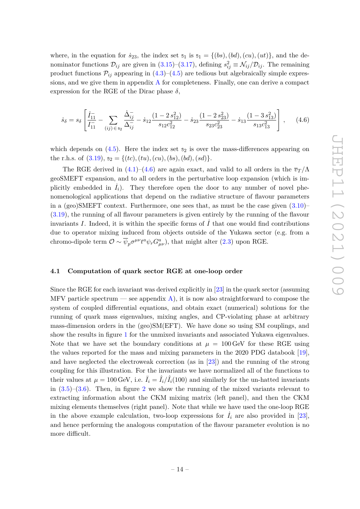where, in the equation for  $\dot{s}_{23}$ , the index set  $s_1$  is  $s_1 = \{(bs), (bd), (cu), (ut)\}$ , and the denominator functions  $\mathcal{D}_{ij}$  are given in [\(3.15\)](#page-8-0)–[\(3.17\)](#page-8-1), defining  $s_{ij}^2 \equiv \mathcal{N}_{ij}/\mathcal{D}_{ij}$ . The remaining product functions  $\mathcal{P}_{ij}$  appearing in  $(4.3)$ – $(4.5)$  are tedious but algebraically simple expressions, and we give them in appendix  $A$  for completeness. Finally, one can derive a compact expression for the RGE of the Dirac phase  $\delta$ .

<span id="page-14-1"></span>
$$
\dot{s}_{\delta} = s_{\delta} \left[ \frac{\dot{I}_{11}}{I_{11}} - \sum_{(ij) \in \mathfrak{s}_2} \frac{\dot{\Delta}_{ij}}{\Delta_{ij}^{-}} - \dot{s}_{12} \frac{(1 - 2 s_{12}^2)}{s_{12} c_{12}^2} - \dot{s}_{23} \frac{(1 - 2 s_{23}^2)}{s_{23} c_{23}^2} - \dot{s}_{13} \frac{(1 - 3 s_{13}^2)}{s_{13} c_{13}^2} \right], \quad (4.6)
$$

which depends on  $(4.5)$ . Here the index set  $s_2$  is over the mass-differences appearing on the r.h.s. of  $(3.19)$ ,  $s_2 = \{(tc), (tu), (cu), (bs), (bd), (sd)\}.$ 

The RGE derived in [\(4.1\)](#page-13-2)–[\(4.6\)](#page-14-1) are again exact, and valid to all orders in the  $\overline{v}_T/\Lambda$ geoSMEFT expansion, and to all orders in the perturbative loop expansion (which is implicitly embedded in  $\dot{I}_i$ ). They therefore open the door to any number of novel phenomenological applications that depend on the radiative structure of flavour parameters in a (geo)SMEFT context. Furthermore, one sees that, as must be the case given  $(3.10)$ – [\(3.19\)](#page-9-1), the running of all flavour parameters is given entirely by the running of the flavour invariants *I*. Indeed, it is within the specific forms of  $\dot{I}$  that one would find contributions due to operator mixing induced from objects outside of the Yukawa sector (e.g. from a chromo-dipole term  $\mathcal{O} \sim \overline{\psi}_p \sigma^{\mu\nu} t^a \psi_r G^a_{\mu\nu}$ , that might alter [\(2.3\)](#page-3-4) upon RGE.

#### <span id="page-14-0"></span>**4.1 Computation of quark sector RGE at one-loop order**

Since the RGE for each invariant was derived explicitly in [\[23\]](#page-20-5) in the quark sector (assuming MFV particle spectrum — see appendix  $\bf{A}$ ), it is now also straightforward to compose the system of coupled differential equations, and obtain exact (numerical) solutions for the running of quark mass eigenvalues, mixing angles, and CP-violating phase at arbitrary mass-dimension orders in the (geo)SM(EFT). We have done so using SM couplings, and show the results in figure [1](#page-15-0) for the unmixed invariants and associated Yukawa eigenvalues. Note that we have set the boundary conditions at  $\mu = 100 \,\text{GeV}$  for these RGE using the values reported for the mass and mixing parameters in the 2020 PDG databook [\[19\]](#page-20-0), and have neglected the electroweak correction (as in [\[23\]](#page-20-5)) and the running of the strong coupling for this illustration. For the invariants we have normalized all of the functions to their values at  $\mu = 100 \text{ GeV}$ , i.e.  $\bar{I}_i = \hat{I}_i / \hat{I}_i(100)$  and similarly for the un-hatted invariants in  $(3.5)-(3.6)$  $(3.5)-(3.6)$  $(3.5)-(3.6)$ . Then, in figure [2](#page-15-1) we show the running of the mixed variants relevant to extracting information about the CKM mixing matrix (left panel), and then the CKM mixing elements themselves (right panel). Note that while we have used the one-loop RGE in the above example calculation, two-loop expressions for  $I_i$  are also provided in [\[23\]](#page-20-5), and hence performing the analogous computation of the flavour parameter evolution is no more difficult.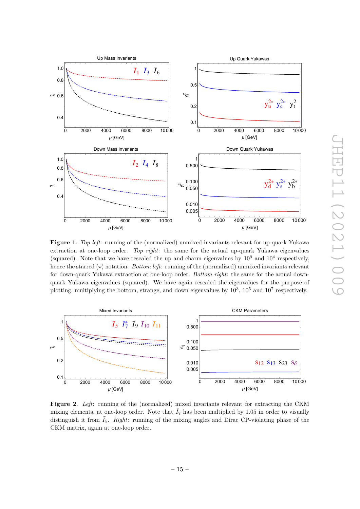

<span id="page-15-0"></span>**Figure 1**. *Top left*: running of the (normalized) unmixed invariants relevant for up-quark Yukawa extraction at one-loop order. *Top right*: the same for the actual up-quark Yukawa eigenvalues (squared). Note that we have rescaled the up and charm eigenvalues by  $10^9$  and  $10^4$  respectively, hence the starred  $(\star)$  notation. *Bottom left*: running of the (normalized) unmixed invariants relevant for down-quark Yukawa extraction at one-loop order. *Bottom right*: the same for the actual downquark Yukawa eigenvalues (squared). We have again rescaled the eigenvalues for the purpose of plotting, multiplying the bottom, strange, and down eigenvalues by  $10^3$ ,  $10^5$  and  $10^7$  respectively.



<span id="page-15-1"></span>**Figure 2**. *Left*: running of the (normalized) mixed invariants relevant for extracting the CKM mixing elements, at one-loop order. Note that  $\bar{I}_7$  has been multiplied by 1.05 in order to visually distinguish it from  $\overline{I}_5$ . *Right*: running of the mixing angles and Dirac CP-violating phase of the CKM matrix, again at one-loop order.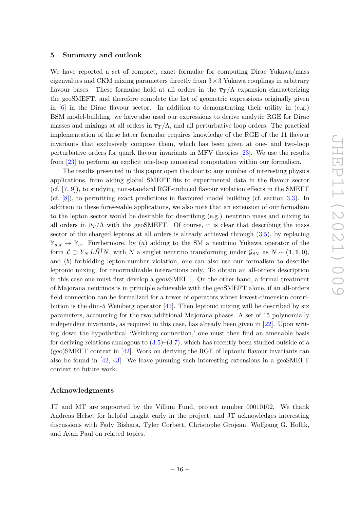#### <span id="page-16-0"></span>**5 Summary and outlook**

We have reported a set of compact, exact formulae for computing Dirac Yukawa/mass eigenvalues and CKM mixing parameters directly from  $3 \times 3$  Yukawa couplings in arbitrary flavour bases. These formulae hold at all orders in the  $\overline{v}_T/\Lambda$  expansion characterizing the geoSMEFT, and therefore complete the list of geometric expressions originally given in  $[6]$  in the Dirac flavour sector. In addition to demonstrating their utility in  $(e.g.)$ BSM model-building, we have also used our expressions to derive analytic RGE for Dirac masses and mixings at all orders in  $\overline{v}_T/\Lambda$ , and all perturbative loop orders. The practical implementation of these latter formulae requires knowledge of the RGE of the 11 flavour invariants that exclusively compose them, which has been given at one- and two-loop perturbative orders for quark flavour invariants in MFV theories [\[23\]](#page-20-5). We use the results from [\[23\]](#page-20-5) to perform an explicit one-loop numerical computation within our formalism.

The results presented in this paper open the door to any number of interesting physics applications, from aiding global SMEFT fits to experimental data in the flavour sector (cf. [\[7,](#page-19-5) [9\]](#page-19-7)), to studying non-standard RGE-induced flavour violation effects in the SMEFT (cf. [\[8\]](#page-19-6)), to permitting exact predictions in flavoured model building (cf. section [3.3\)](#page-10-0). In addition to these foreseeable applications, we also note that an extension of our formalism to the lepton sector would be desirable for describing (e.g.) neutrino mass and mixing to all orders in  $\overline{v}_T/\Lambda$  with the geoSMEFT. Of course, it is clear that describing the mass sector of the charged leptons at all orders is already achieved through  $(3.5)$ , by replacing  $\mathbb{Y}_{u,d} \to \mathbb{Y}_e$ . Furthermore, by (*a*) adding to the SM a neutrino Yukawa operator of the form  $\mathcal{L} \supset Y_N L \tilde{H}^{\dagger} \overline{N}$ , with *N* a singlet neutrino transforming under  $\mathcal{G}_{SM}$  as  $N \sim (1, 1, 0)$ , and (*b*) forbidding lepton-number violation, one can also use our formalism to describe leptonic mixing, for renormalizable interactions only. To obtain an all-orders description in this case one must first develop a geo*ν*SMEFT. On the other hand, a formal treatment of Majorana neutrinos is in principle achievable with the geoSMEFT alone, if an all-orders field connection can be formalized for a tower of operators whose lowest-dimension contribution is the dim-5 Weinberg operator [\[41\]](#page-21-2). Then leptonic mixing will be described by six parameters, accounting for the two additional Majorana phases. A set of 15 polynomially independent invariants, as required in this case, has already been given in [\[22\]](#page-20-4). Upon writing down the hypothetical 'Weinberg connection,' one must then find an amenable basis for deriving relations analogous to  $(3.5)-(3.7)$  $(3.5)-(3.7)$  $(3.5)-(3.7)$ , which has recently been studied outside of a  $(qee)$ SMEFT context in [\[42\]](#page-21-3). Work on deriving the RGE of leptonic flavour invariants can also be found in [\[42,](#page-21-3) [43\]](#page-21-4). We leave pursuing such interesting extensions in a geoSMEFT context to future work.

## **Acknowledgments**

JT and MT are supported by the Villum Fund, project number 00010102. We thank Andreas Helset for helpful insight early in the project, and JT acknowledges interesting discussions with Fady Bishara, Tyler Corbett, Christophe Grojean, Wolfgang G. Hollik, and Ayan Paul on related topics.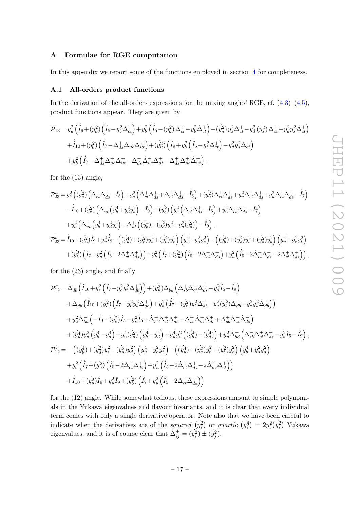## <span id="page-17-0"></span>**A Formulae for RGE computation**

In this appendix we report some of the functions employed in section [4](#page-13-0) for completeness.

#### <span id="page-17-1"></span>**A.1 All-orders product functions**

In the derivation of the all-orders expressions for the mixing angles' RGE, cf.  $(4.3)$ – $(4.5)$ , product functions appear. They are given by

$$
\mathcal{P}_{13} = y_u^2 \left( \dot{\hat{I}}_9 + (y_b^2) \left( \hat{I}_5 - y_b^2 \Delta_{ct}^+ \right) + y_b^2 \left( \dot{\hat{I}}_5 - (y_b^2) \Delta_{ct}^+ - y_b^2 \Delta_{ct}^+ \right) - (y_d^2) y_s^2 \Delta_{ct}^+ - y_d^2 (y_s^2) \Delta_{ct}^+ - y_d^2 y_s^2 \Delta_{ct}^+ \right) + \dot{\hat{I}}_{10} + (y_b^2) \left( \hat{I}_7 - \Delta_{ds}^+ \Delta_{uc}^+ \Delta_{ut}^+ \right) + (y_u^2) \left( \hat{I}_9 + y_b^2 \left( \hat{I}_5 - y_b^2 \Delta_{ct}^+ \right) - y_d^2 y_s^2 \Delta_{ct}^+ \right) + y_b^2 \left( \dot{\hat{I}}_7 - \dot{\Delta}_{ds}^+ \Delta_{uc}^+ \Delta_{ut}^+ - \Delta_{ds}^+ \dot{\Delta}_{uc}^+ \Delta_{ut}^+ - \Delta_{ds}^+ \Delta_{uc}^+ \dot{\Delta}_{ut}^+ \right) ,
$$

for the (13) angle,

$$
\mathcal{P}_{23}^{a} = y_{b}^{2} \left( (y_{c}^{2}) \left( \Delta_{ct}^{+} \Delta_{ds}^{+} - \hat{I}_{5} \right) + y_{c}^{2} \left( \Delta_{ct}^{+} \Delta_{ds}^{+} + \Delta_{ct}^{+} \Delta_{ds}^{+} - \hat{I}_{5} \right) + (y_{u}^{2}) \Delta_{ct}^{+} \Delta_{ds}^{+} + y_{u}^{2} \Delta_{ct}^{+} \Delta_{ds}^{+} + y_{u}^{2} \Delta_{ct}^{+} \Delta_{ds}^{+} - \hat{I}_{7} \right) \n- \hat{I}_{10} + (y_{c}^{2}) \left( \Delta_{ut}^{+} \left( y_{b}^{4} + y_{d}^{2} y_{s}^{2} \right) - \hat{I}_{9} \right) + (y_{b}^{2}) \left( y_{c}^{2} \left( \Delta_{ct}^{+} \Delta_{ds}^{+} - \hat{I}_{5} \right) + y_{u}^{2} \Delta_{ct}^{+} \Delta_{ds}^{+} - \hat{I}_{7} \right) \n+ y_{c}^{2} \left( \Delta_{ut}^{+} \left( y_{b}^{4} + y_{d}^{2} y_{s}^{2} \right) + \Delta_{ut}^{+} \left( (y_{b}^{4}) + (y_{d}^{2}) y_{s}^{2} + y_{d}^{2} (y_{s}^{2}) \right) - \hat{I}_{9} \right),
$$
\n
$$
\mathcal{P}_{23}^{b} = \hat{I}_{10} + (y_{u}^{2}) \hat{I}_{9} + y_{u}^{2} \hat{I}_{9} - \left( (y_{u}^{4}) + (y_{c}^{2}) y_{t}^{2} + (y_{t}^{2}) y_{c}^{2} \right) \left( y_{b}^{4} + y_{d}^{2} y_{s}^{2} \right) - \left( (y_{b}^{4}) + (y_{d}^{2}) y_{s}^{2} + (y_{s}^{2}) y_{d}^{2} \right) \left( y_{u}^{4} + y_{c}^{2} y_{t}^{2} \right) \n+ (y_{b}^{2}) \left( \hat{I}_{7} + y_{u}^{2} \left( \hat{I}_{5} - 2 \Delta_{ct}^{+} \Delta_{ds}^{+} \right) \right) + y_{b}^{2} \left
$$

for the (23) angle, and finally

$$
\mathcal{P}_{12}^{a} = \dot{\Delta}_{db}^{-} \left( \hat{I}_{10} + y_{s}^{2} \left( \hat{I}_{7} - y_{c}^{2} y_{t}^{2} \Delta_{db}^{+} \right) \right) + (y_{u}^{2}) \Delta_{bd}^{-} \left( \Delta_{sb}^{+} \Delta_{ct}^{+} \Delta_{ds}^{+} - y_{s}^{2} \hat{I}_{5} - \hat{I}_{9} \right) \n+ \Delta_{db}^{-} \left( \hat{I}_{10} + (y_{s}^{2}) \left( \hat{I}_{7} - y_{c}^{2} y_{t}^{2} \Delta_{db}^{+} \right) + y_{s}^{2} \left( \hat{I}_{7} - (y_{c}^{2}) y_{t}^{2} \Delta_{db}^{+} - y_{c}^{2} (y_{t}^{2}) \Delta_{db}^{+} - y_{c}^{2} y_{t}^{2} \Delta_{db}^{+} \right) \right) \n+ y_{u}^{2} \Delta_{bd}^{-} \left( -\hat{I}_{9} - (y_{s}^{2}) \hat{I}_{5} - y_{s}^{2} \hat{I}_{5} + \dot{\Delta}_{sb}^{+} \Delta_{ct}^{+} \Delta_{ds}^{+} + \Delta_{sb}^{+} \dot{\Delta}_{ct}^{+} \Delta_{ds}^{+} + \Delta_{sb}^{+} \Delta_{ct}^{+} \dot{\Delta}_{ds}^{+} \right) \n+ (y_{u}^{4}) y_{s}^{2} \left( y_{b}^{4} - y_{d}^{4} \right) + y_{u}^{4} (y_{s}^{2}) \left( y_{b}^{4} - y_{d}^{4} \right) + y_{u}^{4} y_{s}^{2} \left( (y_{b}^{4}) - (y_{d}^{4}) \right) + y_{u}^{2} \dot{\Delta}_{bd}^{-} \left( \Delta_{sb}^{+} \Delta_{ct}^{+} \Delta_{ds}^{+} - y_{s}^{2} \hat{I}_{5} - \hat{I}_{9} \right) ,
$$
\n
$$
\mathcal{P}_{12}^{b} = - \left( (y_{b}^{4}) + (y_{d}^{2}) y_{s}^{2} + (y_{s}^{2}) y_{d}^{2} \right) \left( y_{u}^{4} + y_{c}^{2} y_{t}^{2} \right) - \left( (y_{u}^{4}) + (y_{c}^{
$$

for the (12) angle. While somewhat tedious, these expressions amount to simple polynomials in the Yukawa eigenvalues and flavour invariants, and it is clear that every individual term comes with only a single derivative operator. Note also that we have been careful to indicate when the derivatives are of the *squared*  $(y_i^2)$  or *quartic*  $(y_i^4) = 2y_i^2(y_i^2)$  Yukawa eigenvalues, and it is of course clear that  $\Delta_{ij}^{\pm} = (y_i^2) \pm (y_j^2)$ .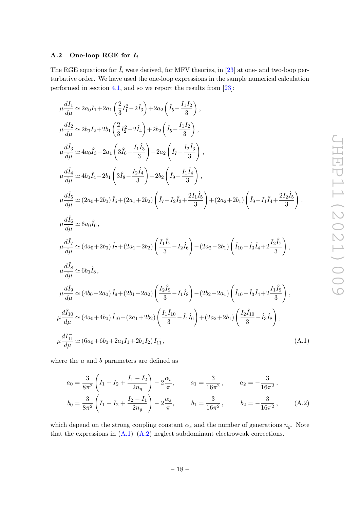# <span id="page-18-0"></span>**A.2 One-loop RGE for** *I<sup>i</sup>*

The RGE equations for  $\hat{I}_i$  were derived, for MFV theories, in [\[23\]](#page-20-5) at one- and two-loop perturbative order. We have used the one-loop expressions in the sample numerical calculation performed in section [4.1,](#page-14-0) and so we report the results from  $[23]$ :

$$
\mu \frac{dI_1}{d\mu} \simeq 2a_0I_1 + 2a_1 \left(\frac{2}{3}I_1^2 - 2\hat{I}_3\right) + 2a_2 \left(\hat{I}_5 - \frac{I_1I_2}{3}\right),
$$
\n
$$
\mu \frac{dI_2}{d\mu} \simeq 2b_0I_2 + 2b_1 \left(\frac{2}{3}I_2^2 - 2\hat{I}_4\right) + 2b_2 \left(\hat{I}_5 - \frac{I_1I_2}{3}\right),
$$
\n
$$
\mu \frac{d\hat{I}_3}{d\mu} \simeq 4a_0\hat{I}_3 - 2a_1 \left(3\hat{I}_6 - \frac{I_1\hat{I}_3}{3}\right) - 2a_2 \left(\hat{I}_7 - \frac{I_2\hat{I}_3}{3}\right),
$$
\n
$$
\mu \frac{d\hat{I}_4}{d\mu} \simeq 4b_0\hat{I}_4 - 2b_1 \left(3\hat{I}_8 - \frac{I_2\hat{I}_4}{3}\right) - 2b_2 \left(\hat{I}_9 - \frac{I_1\hat{I}_4}{3}\right),
$$
\n
$$
\mu \frac{d\hat{I}_5}{d\mu} \simeq (2a_0 + 2b_0) \hat{I}_5 + (2a_1 + 2b_2) \left(\hat{I}_7 - I_2\hat{I}_3 + \frac{2I_1\hat{I}_5}{3}\right) + (2a_2 + 2b_1) \left(\hat{I}_9 - I_1\hat{I}_4 + \frac{2I_2\hat{I}_5}{3}\right),
$$
\n
$$
\mu \frac{d\hat{I}_6}{d\mu} \simeq 6a_0\hat{I}_6,
$$
\n
$$
\mu \frac{d\hat{I}_7}{d\mu} \simeq (4a_0 + 2b_0) \hat{I}_7 + (2a_1 - 2b_2) \left(\frac{I_1\hat{I}_7}{3} - I_2\hat{I}_6\right) - (2a_2 - 2b_1) \left(\hat{I}_{10} - \hat{I}_3\hat{I}_4 + 2\frac{I_2\hat{I}_7}{3}\right),
$$
\n
$$
\mu \frac{d\hat{I}_8}{d\mu} \
$$

where the *a* and *b* parameters are defined as

<span id="page-18-2"></span><span id="page-18-1"></span>
$$
a_0 = \frac{3}{8\pi^2} \left( I_1 + I_2 + \frac{I_1 - I_2}{2n_g} \right) - 2\frac{\alpha_s}{\pi}, \qquad a_1 = \frac{3}{16\pi^2}, \qquad a_2 = -\frac{3}{16\pi^2},
$$
  

$$
b_0 = \frac{3}{8\pi^2} \left( I_1 + I_2 + \frac{I_2 - I_1}{2n_g} \right) - 2\frac{\alpha_s}{\pi}, \qquad b_1 = \frac{3}{16\pi^2}, \qquad b_2 = -\frac{3}{16\pi^2}, \qquad (A.2)
$$

which depend on the strong coupling constant  $\alpha_s$  and the number of generations  $n_g$ . Note that the expressions in  $(A.1)$ – $(A.2)$  neglect subdominant electroweak corrections.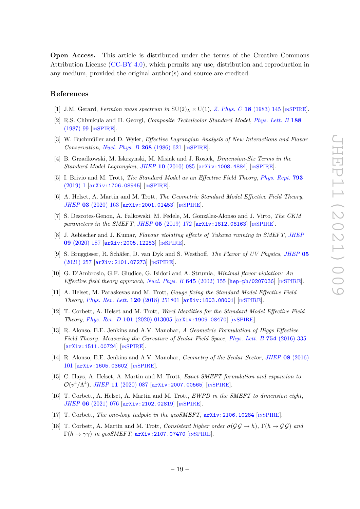**Open Access.** This article is distributed under the terms of the Creative Commons Attribution License [\(CC-BY 4.0\)](https://creativecommons.org/licenses/by/4.0/), which permits any use, distribution and reproduction in any medium, provided the original author(s) and source are credited.

## **References**

- <span id="page-19-0"></span>[1] J.M. Gerard, *Fermion mass spectrum in*  $SU(2)_L \times U(1)$ , *[Z. Phys. C](https://doi.org/10.1007/BF01572477)* 18 (1983) 145 [IN[SPIRE](https://inspirehep.net/search?p=find+J%20%22Z.Phys.%2CC18%2C145%22)].
- <span id="page-19-1"></span>[2] R.S. Chivukula and H. Georgi, *Composite Technicolor Standard Model*, *[Phys. Lett. B](https://doi.org/10.1016/0370-2693(87)90713-1)* **188** [\(1987\) 99](https://doi.org/10.1016/0370-2693(87)90713-1) [IN[SPIRE](https://inspirehep.net/search?p=find+J%20%22Phys.Lett.%2CB188%2C99%22)].
- <span id="page-19-2"></span>[3] W. Buchmüller and D. Wyler, *Effective Lagrangian Analysis of New Interactions and Flavor Conservation*, *[Nucl. Phys. B](https://doi.org/10.1016/0550-3213(86)90262-2)* **268** (1986) 621 [IN[SPIRE](https://inspirehep.net/search?p=find+J%20%22Nucl.Phys.%2CB268%2C621%22)].
- <span id="page-19-3"></span>[4] B. Grzadkowski, M. Iskrzynski, M. Misiak and J. Rosiek, *Dimension-Six Terms in the Standard Model Lagrangian*, *JHEP* **10** [\(2010\) 085](https://doi.org/10.1007/JHEP10(2010)085) [[arXiv:1008.4884](https://arxiv.org/abs/1008.4884)] [IN[SPIRE](https://inspirehep.net/search?p=find+EPRINT%2BarXiv%3A1008.4884)].
- <span id="page-19-9"></span>[5] I. Brivio and M. Trott, *The Standard Model as an Effective Field Theory*, *[Phys. Rept.](https://doi.org/10.1016/j.physrep.2018.11.002)* **793** [\(2019\) 1](https://doi.org/10.1016/j.physrep.2018.11.002) [[arXiv:1706.08945](https://arxiv.org/abs/1706.08945)] [IN[SPIRE](https://inspirehep.net/search?p=find+EPRINT%2BarXiv%3A1706.08945)].
- <span id="page-19-4"></span>[6] A. Helset, A. Martin and M. Trott, *The Geometric Standard Model Effective Field Theory*, *JHEP* **03** [\(2020\) 163](https://doi.org/10.1007/JHEP03(2020)163) [[arXiv:2001.01453](https://arxiv.org/abs/2001.01453)] [IN[SPIRE](https://inspirehep.net/search?p=find+EPRINT%2BarXiv%3A2001.01453)].
- <span id="page-19-5"></span>[7] S. Descotes-Genon, A. Falkowski, M. Fedele, M. González-Alonso and J. Virto, *The CKM parameters in the SMEFT*, *JHEP* **05** [\(2019\) 172](https://doi.org/10.1007/JHEP05(2019)172) [[arXiv:1812.08163](https://arxiv.org/abs/1812.08163)] [IN[SPIRE](https://inspirehep.net/search?p=find+EPRINT%2BarXiv%3A1812.08163)].
- <span id="page-19-6"></span>[8] J. Aebischer and J. Kumar, *Flavour violating effects of Yukawa running in SMEFT*, *[JHEP](https://doi.org/10.1007/JHEP09(2020)187)* **09** [\(2020\) 187](https://doi.org/10.1007/JHEP09(2020)187) [[arXiv:2005.12283](https://arxiv.org/abs/2005.12283)] [IN[SPIRE](https://inspirehep.net/search?p=find+EPRINT%2BarXiv%3A2005.12283)].
- <span id="page-19-7"></span>[9] S. Bruggisser, R. Schäfer, D. van Dyk and S. Westhoff, *The Flavor of UV Physics*, *[JHEP](https://doi.org/10.1007/JHEP05(2021)257)* **05** [\(2021\) 257](https://doi.org/10.1007/JHEP05(2021)257) [[arXiv:2101.07273](https://arxiv.org/abs/2101.07273)] [IN[SPIRE](https://inspirehep.net/search?p=find+EPRINT%2BarXiv%3A2101.07273)].
- <span id="page-19-8"></span>[10] G. D'Ambrosio, G.F. Giudice, G. Isidori and A. Strumia, *Minimal flavor violation: An Effective field theory approach*, *[Nucl. Phys. B](https://doi.org/10.1016/S0550-3213(02)00836-2)* **645** (2002) 155 [[hep-ph/0207036](https://arxiv.org/abs/hep-ph/0207036)] [IN[SPIRE](https://inspirehep.net/search?p=find+EPRINT%2Bhep-ph%2F0207036)].
- <span id="page-19-10"></span>[11] A. Helset, M. Paraskevas and M. Trott, *Gauge fixing the Standard Model Effective Field Theory*, *[Phys. Rev. Lett.](https://doi.org/10.1103/PhysRevLett.120.251801)* **120** (2018) 251801 [[arXiv:1803.08001](https://arxiv.org/abs/1803.08001)] [IN[SPIRE](https://inspirehep.net/search?p=find+EPRINT%2BarXiv%3A1803.08001)].
- [12] T. Corbett, A. Helset and M. Trott, *Ward Identities for the Standard Model Effective Field Theory*, *Phys. Rev. D* **101** [\(2020\) 013005](https://doi.org/10.1103/PhysRevD.101.013005) [[arXiv:1909.08470](https://arxiv.org/abs/1909.08470)] [IN[SPIRE](https://inspirehep.net/search?p=find+EPRINT%2BarXiv%3A1909.08470)].
- [13] R. Alonso, E.E. Jenkins and A.V. Manohar, *A Geometric Formulation of Higgs Effective Field Theory: Measuring the Curvature of Scalar Field Space*, *[Phys. Lett. B](https://doi.org/10.1016/j.physletb.2016.01.041)* **754** (2016) 335 [[arXiv:1511.00724](https://arxiv.org/abs/1511.00724)] [IN[SPIRE](https://inspirehep.net/search?p=find+EPRINT%2BarXiv%3A1511.00724)].
- <span id="page-19-11"></span>[14] R. Alonso, E.E. Jenkins and A.V. Manohar, *Geometry of the Scalar Sector*, *JHEP* **08** [\(2016\)](https://doi.org/10.1007/JHEP08(2016)101) [101](https://doi.org/10.1007/JHEP08(2016)101) [[arXiv:1605.03602](https://arxiv.org/abs/1605.03602)] [IN[SPIRE](https://inspirehep.net/search?p=find+EPRINT%2BarXiv%3A1605.03602)].
- <span id="page-19-12"></span>[15] C. Hays, A. Helset, A. Martin and M. Trott, *Exact SMEFT formulation and expansion to*  $\mathcal{O}(v^4/\Lambda^4)$ , *JHEP* 11 [\(2020\) 087](https://doi.org/10.1007/JHEP11(2020)087) [[arXiv:2007.00565](https://arxiv.org/abs/2007.00565)] [IN[SPIRE](https://inspirehep.net/search?p=find+EPRINT%2BarXiv%3A2007.00565)].
- [16] T. Corbett, A. Helset, A. Martin and M. Trott, *EWPD in the SMEFT to dimension eight*, *JHEP* **06** [\(2021\) 076](https://doi.org/10.1007/JHEP06(2021)076) [[arXiv:2102.02819](https://arxiv.org/abs/2102.02819)] [IN[SPIRE](https://inspirehep.net/search?p=find+EPRINT%2BarXiv%3A2102.02819)].
- [17] T. Corbett, *The one-loop tadpole in the geoSMEFT*, [arXiv:2106.10284](https://arxiv.org/abs/2106.10284) [IN[SPIRE](https://inspirehep.net/search?p=find+EPRINT%2BarXiv%3A2106.10284)].
- <span id="page-19-13"></span>[18] T. Corbett, A. Martin and M. Trott, *Consistent higher order*  $\sigma(\mathcal{G} \mathcal{G} \to h)$ ,  $\Gamma(h \to \mathcal{G} \mathcal{G})$  *and*  $\Gamma(h \to \gamma \gamma)$  *in geoSMEFT*, [arXiv:2107.07470](https://arxiv.org/abs/2107.07470) [IN[SPIRE](https://inspirehep.net/search?p=find+EPRINT%2BarXiv%3A2107.07470)].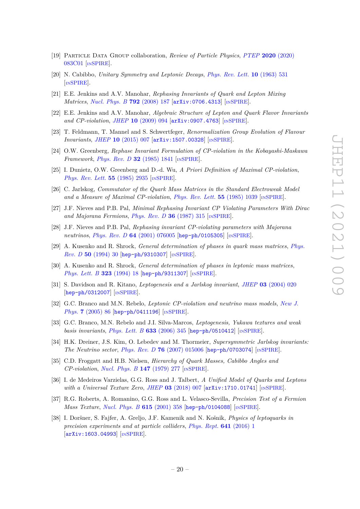- <span id="page-20-0"></span>[19] Particle Data Group collaboration, *Review of Particle Physics*, *PTEP* **2020** [\(2020\)](https://doi.org/10.1093/ptep/ptaa104) [083C01](https://doi.org/10.1093/ptep/ptaa104) [IN[SPIRE](https://inspirehep.net/search?p=find+J%20%22PTEP%2C2020%2C083C01%22)].
- <span id="page-20-1"></span>[20] N. Cabibbo, *Unitary Symmetry and Leptonic Decays*, *[Phys. Rev. Lett.](https://doi.org/10.1103/PhysRevLett.10.531)* **10** (1963) 531 [IN[SPIRE](https://inspirehep.net/search?p=find+J%20%22Phys.Rev.Lett.%2C10%2C531%22)].
- <span id="page-20-2"></span>[21] E.E. Jenkins and A.V. Manohar, *Rephasing Invariants of Quark and Lepton Mixing Matrices*, *[Nucl. Phys. B](https://doi.org/10.1016/j.nuclphysb.2007.09.031)* **792** (2008) 187 [[arXiv:0706.4313](https://arxiv.org/abs/0706.4313)] [IN[SPIRE](https://inspirehep.net/search?p=find+EPRINT%2BarXiv%3A0706.4313)].
- <span id="page-20-4"></span>[22] E.E. Jenkins and A.V. Manohar, *Algebraic Structure of Lepton and Quark Flavor Invariants and CP-violation*, *JHEP* **10** [\(2009\) 094](https://doi.org/10.1088/1126-6708/2009/10/094) [[arXiv:0907.4763](https://arxiv.org/abs/0907.4763)] [IN[SPIRE](https://inspirehep.net/search?p=find+EPRINT%2BarXiv%3A0907.4763)].
- <span id="page-20-5"></span>[23] T. Feldmann, T. Mannel and S. Schwertfeger, *Renormalization Group Evolution of Flavour Invariants*, *JHEP* **10** [\(2015\) 007](https://doi.org/10.1007/JHEP10(2015)007) [[arXiv:1507.00328](https://arxiv.org/abs/1507.00328)] [IN[SPIRE](https://inspirehep.net/search?p=find+EPRINT%2BarXiv%3A1507.00328)].
- [24] O.W. Greenberg, *Rephase Invariant Formulation of CP-violation in the Kobayashi-Maskawa Framework*, *[Phys. Rev. D](https://doi.org/10.1103/PhysRevD.32.1841)* **32** (1985) 1841 [IN[SPIRE](https://inspirehep.net/search?p=find+J%20%22Phys.Rev.%2CD32%2C1841%22)].
- [25] I. Dunietz, O.W. Greenberg and D.-d. Wu, *A Priori Definition of Maximal CP-violation*, *[Phys. Rev. Lett.](https://doi.org/10.1103/PhysRevLett.55.2935)* **55** (1985) 2935 [IN[SPIRE](https://inspirehep.net/search?p=find+J%20%22Phys.Rev.Lett.%2C55%2C2935%22)].
- <span id="page-20-6"></span>[26] C. Jarlskog, *Commutator of the Quark Mass Matrices in the Standard Electroweak Model and a Measure of Maximal CP-violation*, *[Phys. Rev. Lett.](https://doi.org/10.1103/PhysRevLett.55.1039)* **55** (1985) 1039 [IN[SPIRE](https://inspirehep.net/search?p=find+J%20%22Phys.Rev.Lett.%2C55%2C1039%22)].
- [27] J.F. Nieves and P.B. Pal, *Minimal Rephasing Invariant CP Violating Parameters With Dirac and Majorana Fermions*, *[Phys. Rev. D](https://doi.org/10.1103/PhysRevD.36.315)* **36** (1987) 315 [IN[SPIRE](https://inspirehep.net/search?p=find+J%20%22Phys.Rev.%2CD36%2C315%22)].
- [28] J.F. Nieves and P.B. Pal, *Rephasing invariant CP-violating parameters with Majorana neutrinos*, *Phys. Rev. D* **64** [\(2001\) 076005](https://doi.org/10.1103/PhysRevD.64.076005) [[hep-ph/0105305](https://arxiv.org/abs/hep-ph/0105305)] [IN[SPIRE](https://inspirehep.net/search?p=find+EPRINT%2Bhep-ph%2F0105305)].
- [29] A. Kusenko and R. Shrock, *General determination of phases in quark mass matrices*, *[Phys.](https://doi.org/10.1103/PhysRevD.50.R30) Rev. D* **50** [\(1994\) 30](https://doi.org/10.1103/PhysRevD.50.R30) [[hep-ph/9310307](https://arxiv.org/abs/hep-ph/9310307)] [IN[SPIRE](https://inspirehep.net/search?p=find+EPRINT%2Bhep-ph%2F9310307)].
- [30] A. Kusenko and R. Shrock, *General determination of phases in leptonic mass matrices*, *[Phys. Lett. B](https://doi.org/10.1016/0370-2693(94)00020-4)* **323** (1994) 18 [[hep-ph/9311307](https://arxiv.org/abs/hep-ph/9311307)] [IN[SPIRE](https://inspirehep.net/search?p=find+EPRINT%2Bhep-ph%2F9311307)].
- [31] S. Davidson and R. Kitano, *Leptogenesis and a Jarlskog invariant*, *JHEP* **03** [\(2004\) 020](https://doi.org/10.1088/1126-6708/2004/03/020) [[hep-ph/0312007](https://arxiv.org/abs/hep-ph/0312007)] [IN[SPIRE](https://inspirehep.net/search?p=find+EPRINT%2Bhep-ph%2F0312007)].
- [32] G.C. Branco and M.N. Rebelo, *Leptonic CP-violation and neutrino mass models*, *[New J.](https://doi.org/10.1088/1367-2630/7/1/086) Phys.* **7** [\(2005\) 86](https://doi.org/10.1088/1367-2630/7/1/086) [[hep-ph/0411196](https://arxiv.org/abs/hep-ph/0411196)] [IN[SPIRE](https://inspirehep.net/search?p=find+EPRINT%2Bhep-ph%2F0411196)].
- [33] G.C. Branco, M.N. Rebelo and J.I. Silva-Marcos, *Leptogenesis, Yukawa textures and weak basis invariants*, *[Phys. Lett. B](https://doi.org/10.1016/j.physletb.2005.11.067)* **633** (2006) 345 [[hep-ph/0510412](https://arxiv.org/abs/hep-ph/0510412)] [IN[SPIRE](https://inspirehep.net/search?p=find+EPRINT%2Bhep-ph%2F0510412)].
- <span id="page-20-3"></span>[34] H.K. Dreiner, J.S. Kim, O. Lebedev and M. Thormeier, *Supersymmetric Jarlskog invariants: The Neutrino sector*, *Phys. Rev. D* **76** [\(2007\) 015006](https://doi.org/10.1103/PhysRevD.76.015006) [[hep-ph/0703074](https://arxiv.org/abs/hep-ph/0703074)] [IN[SPIRE](https://inspirehep.net/search?p=find+EPRINT%2Bhep-ph%2F0703074)].
- <span id="page-20-7"></span>[35] C.D. Froggatt and H.B. Nielsen, *Hierarchy of Quark Masses, Cabibbo Angles and CP-violation*, *[Nucl. Phys. B](https://doi.org/10.1016/0550-3213(79)90316-X)* **147** (1979) 277 [IN[SPIRE](https://inspirehep.net/search?p=find+J%20%22Nucl.Phys.%2CB147%2C277%22)].
- <span id="page-20-8"></span>[36] I. de Medeiros Varzielas, G.G. Ross and J. Talbert, *A Unified Model of Quarks and Leptons with a Universal Texture Zero*, *JHEP* **03** [\(2018\) 007](https://doi.org/10.1007/JHEP03(2018)007) [[arXiv:1710.01741](https://arxiv.org/abs/1710.01741)] [IN[SPIRE](https://inspirehep.net/search?p=find+EPRINT%2BarXiv%3A1710.01741)].
- <span id="page-20-9"></span>[37] R.G. Roberts, A. Romanino, G.G. Ross and L. Velasco-Sevilla, *Precision Test of a Fermion Mass Texture, [Nucl. Phys. B](https://doi.org/10.1016/S0550-3213(01)00408-4)* **615** (2001) 358 [[hep-ph/0104088](https://arxiv.org/abs/hep-ph/0104088)] [IN[SPIRE](https://inspirehep.net/search?p=find+EPRINT%2Bhep-ph%2F0104088)].
- <span id="page-20-10"></span>[38] I. Doršner, S. Fajfer, A. Greljo, J.F. Kamenik and N. Košnik, *Physics of leptoquarks in precision experiments and at particle colliders*, *[Phys. Rept.](https://doi.org/10.1016/j.physrep.2016.06.001)* **641** (2016) 1 [[arXiv:1603.04993](https://arxiv.org/abs/1603.04993)] [IN[SPIRE](https://inspirehep.net/search?p=find+EPRINT%2BarXiv%3A1603.04993)].